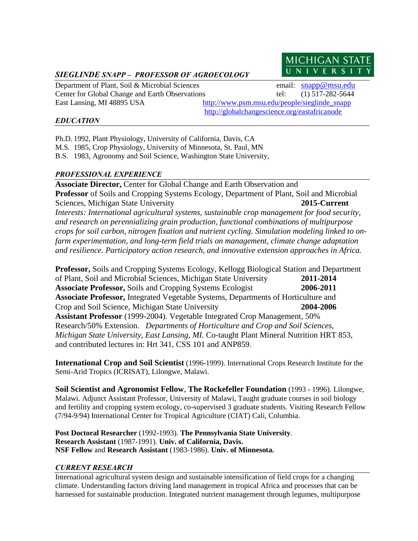# *SIEGLINDE SNAPP – PROFESSOR OF AGROECOLOGY*

Department of Plant, Soil & Microbial Sciences email: [snapp@msu.edu](mailto:snapp@msu.edu) East Lansing, MI 48895 USA http://www.psm.msu.edu/people/sieglinde\_snapp

Center for Global Change and Earth Observations tel: (1) 517-282-5644 <http://globalchangescience.org/eastafricanode>

**MICHIGAN STAT** UNIVERSIT

## *EDUCATION*

Ph.D. 1992, Plant Physiology, University of California, Davis, CA

M.S. 1985, Crop Physiology, University of Minnesota, St. Paul, MN

B.S. 1983, Agronomy and Soil Science, Washington State University,

## *PROFESSIONAL EXPERIENCE*

**Associate Director,** Center for Global Change and Earth Observation and **Professor** of Soils and Cropping Systems Ecology, Department of Plant, Soil and Microbial Sciences, Michigan State University **2015-Current** *Interests: International agricultural systems, sustainable crop management for food security, and research on perennializing grain production, functional combinations of multipurpose crops for soil carbon, nitrogen fixation and nutrient cycling. Simulation modeling linked to onfarm experimentation, and long-term field trials on management, climate change adaptation and resilience. Participatory action research, and innovative extension approaches in Africa.*

**Professor,** Soils and Cropping Systems Ecology, Kellogg Biological Station and Department of Plant, Soil and Microbial Sciences, Michigan State University **2011-2014 Associate Professor,** Soils and Cropping Systems Ecologist **2006-2011 Associate Professor,** Integrated Vegetable Systems, Departments of Horticulture and Crop and Soil Science, Michigan State University **2004-2006 Assistant Professor** (1999-2004). Vegetable Integrated Crop Management, 50% Research/50% Extension. *Departments of Horticulture and Crop and Soil Sciences, Michigan State University, East Lansing, MI.* Co-taught Plant Mineral Nutrition HRT 853, and contributed lectures in: Hrt 341, CSS 101 and ANP859.

**International Crop and Soil Scientist** (1996-1999). International Crops Research Institute for the Semi-Arid Tropics (ICRISAT), Lilongwe, Malawi.

**Soil Scientist and Agronomist Fellow**, **The Rockefeller Foundation** (1993 - 1996). Lilongwe, Malawi. Adjunct Assistant Professor, University of Malawi, Taught graduate courses in soil biology and fertility and cropping system ecology, co-supervised 3 graduate students. Visiting Research Fellow (7/94-9/94) International Center for Tropical Agriculture (CIAT) Cali, Columbia.

**Post Doctoral Researcher** (1992-1993). **The Pennsylvania State University**. **Research Assistant** (1987-1991). **Univ. of California, Davis. NSF Fellow** and **Research Assistant** (1983-1986). **Univ. of Minnesota.**

## *CURRENT RESEARCH*

International agricultural system design and sustainable intensification of field crops for a changing climate. Understanding factors driving land management in tropical Africa and processes that can be harnessed for sustainable production. Integrated nutrient management through legumes, multipurpose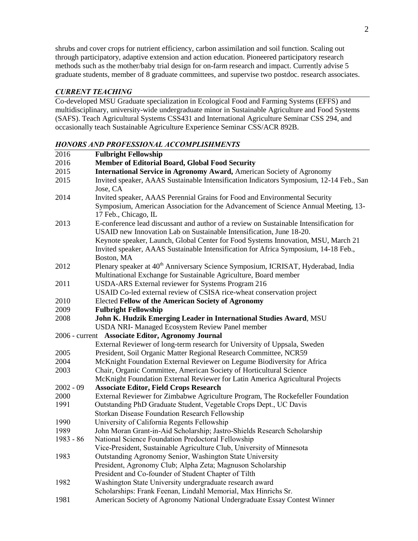shrubs and cover crops for nutrient efficiency, carbon assimilation and soil function. Scaling out through participatory, adaptive extension and action education. Pioneered participatory research methods such as the mother/baby trial design for on-farm research and impact. Currently advise 5 graduate students, member of 8 graduate committees, and supervise two postdoc. research associates.

## *CURRENT TEACHING*

Co-developed MSU Graduate specialization in Ecological Food and Farming Systems (EFFS) and multidisciplinary, university-wide undergraduate minor in Sustainable Agriculture and Food Systems (SAFS). Teach Agricultural Systems CSS431 and International Agriculture Seminar CSS 294, and occasionally teach Sustainable Agriculture Experience Seminar CSS/ACR 892B.

### *HONORS AND PROFESSIONAL ACCOMPLISHMENTS*

| 2016        | <b>Fulbright Fellowship</b>                                                                                |  |  |  |
|-------------|------------------------------------------------------------------------------------------------------------|--|--|--|
| 2016        | Member of Editorial Board, Global Food Security                                                            |  |  |  |
| 2015        | International Service in Agronomy Award, American Society of Agronomy                                      |  |  |  |
| 2015        | Invited speaker, AAAS Sustainable Intensification Indicators Symposium, 12-14 Feb., San                    |  |  |  |
|             | Jose, CA                                                                                                   |  |  |  |
| 2014        | Invited speaker, AAAS Perennial Grains for Food and Environmental Security                                 |  |  |  |
|             | Symposium, American Association for the Advancement of Science Annual Meeting, 13-<br>17 Feb., Chicago, IL |  |  |  |
| 2013        | E-conference lead discussant and author of a review on Sustainable Intensification for                     |  |  |  |
|             | USAID new Innovation Lab on Sustainable Intensification, June 18-20.                                       |  |  |  |
|             | Keynote speaker, Launch, Global Center for Food Systems Innovation, MSU, March 21                          |  |  |  |
|             | Invited speaker, AAAS Sustainable Intensification for Africa Symposium, 14-18 Feb.,                        |  |  |  |
|             | Boston, MA                                                                                                 |  |  |  |
| 2012        | Plenary speaker at 40 <sup>th</sup> Anniversary Science Symposium, ICRISAT, Hyderabad, India               |  |  |  |
|             | Multinational Exchange for Sustainable Agriculture, Board member                                           |  |  |  |
| 2011        | USDA-ARS External reviewer for Systems Program 216                                                         |  |  |  |
|             | USAID Co-led external review of CSISA rice-wheat conservation project                                      |  |  |  |
| 2010        | <b>Elected Fellow of the American Society of Agronomy</b>                                                  |  |  |  |
| 2009        | <b>Fulbright Fellowship</b>                                                                                |  |  |  |
| 2008        | John K. Hudzik Emerging Leader in International Studies Award, MSU                                         |  |  |  |
|             | USDA NRI-Managed Ecosystem Review Panel member                                                             |  |  |  |
|             | 2006 - current Associate Editor, Agronomy Journal                                                          |  |  |  |
|             | External Reviewer of long-term research for University of Uppsala, Sweden                                  |  |  |  |
| 2005        | President, Soil Organic Matter Regional Research Committee, NCR59                                          |  |  |  |
| 2004        | McKnight Foundation External Reviewer on Legume Biodiversity for Africa                                    |  |  |  |
| 2003        | Chair, Organic Committee, American Society of Horticultural Science                                        |  |  |  |
|             | McKnight Foundation External Reviewer for Latin America Agricultural Projects                              |  |  |  |
| $2002 - 09$ | <b>Associate Editor, Field Crops Research</b>                                                              |  |  |  |
| 2000        | External Reviewer for Zimbabwe Agriculture Program, The Rockefeller Foundation                             |  |  |  |
| 1991        | Outstanding PhD Graduate Student, Vegetable Crops Dept., UC Davis                                          |  |  |  |
|             | Storkan Disease Foundation Research Fellowship                                                             |  |  |  |
| 1990        | University of California Regents Fellowship                                                                |  |  |  |
| 1989        | John Moran Grant-in-Aid Scholarship; Jastro-Shields Research Scholarship                                   |  |  |  |
| 1983 - 86   | National Science Foundation Predoctoral Fellowship                                                         |  |  |  |
|             | Vice-President, Sustainable Agriculture Club, University of Minnesota                                      |  |  |  |
| 1983        | Outstanding Agronomy Senior, Washington State University                                                   |  |  |  |
|             | President, Agronomy Club; Alpha Zeta; Magnuson Scholarship                                                 |  |  |  |
|             | President and Co-founder of Student Chapter of Tilth                                                       |  |  |  |
| 1982        | Washington State University undergraduate research award                                                   |  |  |  |
|             | Scholarships: Frank Feenan, Lindahl Memorial, Max Hinrichs Sr.                                             |  |  |  |
| 1981        | American Society of Agronomy National Undergraduate Essay Contest Winner                                   |  |  |  |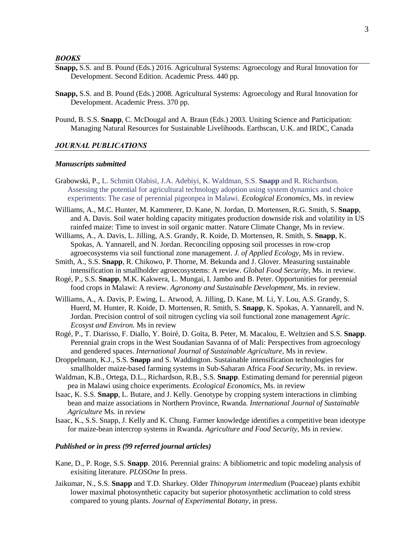- **Snapp,** S.S. and B. Pound (Eds.) 2016. Agricultural Systems: Agroecology and Rural Innovation for Development. Second Edition. Academic Press. 440 pp.
- **Snapp,** S.S. and B. Pound (Eds.) 2008. Agricultural Systems: Agroecology and Rural Innovation for Development. Academic Press. 370 pp.
- Pound, B. S.S. **Snapp**, C. McDougal and A. Braun (Eds.) 2003. Uniting Science and Participation: Managing Natural Resources for Sustainable Livelihoods. Earthscan, U.K. and IRDC, Canada

#### *JOURNAL PUBLICATIONS*

#### *Manuscripts submitted*

- Grabowski, P., L. Schmitt Olabisi, J.A. Adebiyi, K. Waldman, S.S. **Snapp** and R. Richardson. Assessing the potential for agricultural technology adoption using system dynamics and choice experiments: The case of perennial pigeonpea in Malawi. *Ecological Economics,* Ms. in review
- Williams, A., M.C. Hunter, M. Kammerer, D. Kane, N. Jordan, D. Mortensen, R.G. Smith, S. **Snapp**, and A. Davis. Soil water holding capacity mitigates production downside risk and volatility in US rainfed maize: Time to invest in soil organic matter. Nature Climate Change, Ms in review.
- Williams, A., A. Davis, L. Jilling, A.S. Grandy, R. Koide, D. Mortensen, R. Smith, S. **Snapp**, K. Spokas, A. Yannarell, and N. Jordan. Reconciling opposing soil processes in row-crop agroecosystems via soil functional zone management. *J. of Applied Ecology*, Ms in review.
- Smith, A., S.S. **Snapp**, R. Chikowo, P. Thorne, M. Bekunda and J. Glover. Measuring sustainable intensification in smallholder agroecosystems: A review. *Global Food Security,* Ms. in review.
- Rogé, P., S.S. **Snapp**, M.K. Kakwera, L. Mungai, I. Jambo and B. Peter. Opportunities for perennial food crops in Malawi: A review. *Agronomy and Sustainable Development*, Ms. in review.
- Williams, A., A. Davis, P. Ewing, L. Atwood, A. Jilling, D. Kane, M. Li, Y. Lou, A.S. Grandy, S. Huerd, M. Hunter, R. Koide, D. Mortensen, R. Smith, S. **Snapp**, K. Spokas, A. Yannarell, and N. Jordan. Precision control of soil nitrogen cycling via soil functional zone management *Agric. Ecosyst and Environ.* Ms in review
- Rogé, P., T. Diarisso, F. Diallo, Y. Boiré, D. Goïta, B. Peter, M. Macalou, E. Weltzien and S.S. **Snapp**. Perennial grain crops in the West Soudanian Savanna of of Mali: Perspectives from agroecology and gendered spaces. *International Journal of Sustainable Agriculture,* Ms in review.
- Droppelmann, K.J., S.S. **Snapp** and S. Waddington. Sustainable intensification technologies for smallholder maize-based farming systems in Sub-Saharan Africa *Food Security,* Ms. in review.
- Waldman, K.B., Ortega, D.L., Richardson, R.B., S.S. **Snapp**. Estimating demand for perennial pigeon pea in Malawi using choice experiments. *Ecological Economics,* Ms. in review
- Isaac, K. S.S. **Snapp**, L. Butare, and J. Kelly. Genotype by cropping system interactions in climbing bean and maize associations in Northern Province, Rwanda. *International Journal of Sustainable Agriculture* Ms. in review
- Isaac, K., S.S. Snapp, J. Kelly and K. Chung. Farmer knowledge identifies a competitive bean ideotype for maize-bean intercrop systems in Rwanda. *Agriculture and Food Security,* Ms in review.

#### *Published or in press (99 referred journal articles)*

- Kane, D., P. Roge, S.S. **Snapp**. 2016. Perennial grains: A bibliometric and topic modeling analysis of exisiting literature. *PLOSOne* In press.
- Jaikumar, N., S.S. **Snapp** and T.D. Sharkey. Older *Thinopyrum intermedium* (Poaceae) plants exhibit lower maximal photosynthetic capacity but superior photosynthetic acclimation to cold stress compared to young plants. *Journal of Experimental Botany*, in press.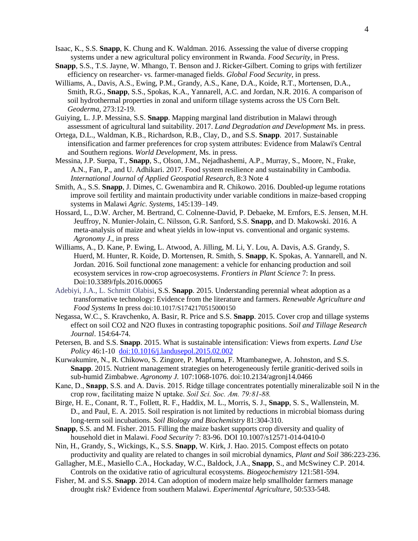- Isaac, K., S.S. **Snapp**, K. Chung and K. Waldman. 2016. Assessing the value of diverse cropping systems under a new agricultural policy environment in Rwanda. *Food Security*, in Press.
- **Snapp**, S.S., T.S. Jayne, W. Mhango, T. Benson and J. Ricker-Gilbert. Coming to grips with fertilizer efficiency on researcher- vs. farmer-managed fields. *Global Food Security*, in press.
- Williams, A., Davis, A.S., Ewing, P.M., Grandy, A.S., Kane, D.A., Koide, R.T., Mortensen, D.A., Smith, R.G., **Snapp**, S.S., Spokas, K.A., Yannarell, A.C. and Jordan, N.R. 2016. A comparison of soil hydrothermal properties in zonal and uniform tillage systems across the US Corn Belt. *Geoderma,* 273:12-19.
- Guiying, L. J.P. Messina, S.S. **Snapp**. Mapping marginal land distribution in Malawi through assessment of agricultural land suitability. 2017. *Land Degradation and Development* Ms. in press.
- Ortega, D.L., Waldman, K.B., Richardson, R.B., Clay, D., and S.S. **Snapp**. 2017. Sustainable intensification and farmer preferences for crop system attributes: Evidence from Malawi's Central and Southern regions. *World Development,* Ms. in press.
- Messina, J.P. Suepa, T., **Snapp**, S., Olson, J.M., Nejadhashemi, A.P., Murray, S., Moore, N., Frake, A.N., Fan, P., and U. Adhikari. 2017. Food system resilience and sustainability in Cambodia. *International Journal of Applied Geospatial Research*, 8:3 Note 4
- Smith, A., S.S. **Snapp**, J. Dimes, C. Gwenambira and R. Chikowo. 2016. Doubled-up legume rotations improve soil fertility and maintain productivity under variable conditions in maize-based cropping systems in Malawi *Agric. Systems*, 145:139–149.
- Hossard, L., D.W. Archer, M. Bertrand, C. Colnenne-David, P. Debaeke, M. Ernfors, E.S. Jensen, M.H. Jeuffroy, N. Munier-Jolain, C. Nilsson, G.R. Sanford, S.S. **Snapp**, and D. Makowski. 2016. A meta-analysis of maize and wheat yields in low-input vs. conventional and organic systems. *Agronomy J*., in press
- Williams, A., D. Kane, P. Ewing, L. Atwood, A. Jilling, M. Li, Y. Lou, A. Davis, A.S. Grandy, S. Huerd, M. Hunter, R. Koide, D. Mortensen, R. Smith, S. **Snapp**, K. Spokas, A. Yannarell, and N. Jordan. 2016. Soil functional zone management: a vehicle for enhancing production and soil ecosystem services in row-crop agroecosystems. *Frontiers in Plant Science* 7: In press. Doi:10.3389/fpls.2016.00065
- Adebiyi, J.A., L. Schmitt Olabisi, S.S. **Snapp**. 2015. Understanding perennial wheat adoption as a transformative technology: Evidence from the literature and farmers. *Renewable Agriculture and Food Systems* In press doi:10.1017/S1742170515000150
- Negassa, W.C., S. Kravchenko, A. Basir, R. Price and S.S. **Snapp**. 2015. Cover crop and tillage systems effect on soil CO2 and N2O fluxes in contrasting topographic positions. *Soil and Tillage Research Journal*. 154:64-74.
- Petersen, B. and S.S. **Snapp**. 2015. What is sustainable intensification: Views from experts. *Land Use Policy* 46:1-10 [doi:10.1016/j.landusepol.2015.02.002](http://dx.doi.org/10.1016/j.landusepol.2015.02.002)
- Kurwakumire, N., R. Chikowo, S. Zingore, P. Mapfuma, F. Mtambanegwe, A. Johnston, and S.S. **Snapp**. 2015. Nutrient management strategies on heterogeneously fertile granitic-derived soils in sub-humid Zimbabwe. *Agronomy J.* 107:1068-1076. doi:10.2134/agronj14.0466
- Kane, D., **Snapp**, S.S. and A. Davis. 2015. Ridge tillage concentrates potentially mineralizable soil N in the crop row, facilitating maize N uptake. *Soil Sci. Soc. Am. 79:81-88.*
- Birge, H. E., Conant, R. T., Follett, R. F., Haddix, M. L., Morris, S. J., **Snapp**, S. S., Wallenstein, M. D., and Paul, E. A. 2015. Soil respiration is not limited by reductions in microbial biomass during long-term soil incubations. *Soil Biology and Biochemistry* 81:304-310.
- **Snapp**, S.S. and M. Fisher. 2015. Filling the maize basket supports crop diversity and quality of household diet in Malawi. *Food Security* 7: 83-96. DOI 10.1007/s12571-014-0410-0
- Nin, H., Grandy, S., Wickings, K., S.S. **Snapp**, W. Kirk, J. Hao. 2015. Compost effects on potato productivity and quality are related to changes in soil microbial dynamics, *Plant and Soil* 386:223-236.
- Gallagher, M.E., Masiello C.A., Hockaday, W.C., Baldock, J.A., **Snapp**, S., and McSwiney C.P. 2014. Controls on the oxidative ratio of agricultural ecosystems. *Biogeochemistry* 121:581-594.
- Fisher, M. and S.S. **Snapp**. 2014. Can adoption of modern maize help smallholder farmers manage drought risk? Evidence from southern Malawi. *Experimental Agriculture,* 50:533-548*.*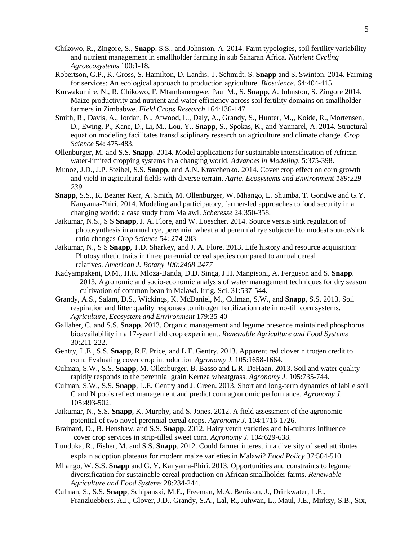- Chikowo, R., Zingore, S., **Snapp**, S.S., and Johnston, A. 2014. Farm typologies, soil fertility variability and nutrient management in smallholder farming in sub Saharan Africa. *Nutrient Cycling Agroecosystems* 100:1-18.
- Robertson, G.P., K. Gross, S. Hamilton, D. Landis, T. Schmidt, S. **Snapp** and S. Swinton. 2014. Farming for services: An ecological approach to production agriculture. *Bioscience*. 64:404-415.
- Kurwakumire, N., R. Chikowo, F. Mtambanengwe, Paul M., S. **Snapp**, A. Johnston, S. Zingore 2014. Maize productivity and nutrient and water efficiency across soil fertility domains on smallholder farmers in Zimbabwe. *Field Crops Research* 164:136-147
- Smith, R., Davis, A., Jordan, N., Atwood, L., Daly, A., Grandy, S., Hunter, M.,, Koide, R., Mortensen, D., Ewing, P., Kane, D., Li, M., Lou, Y., **Snapp**, S., Spokas, K., and Yannarel, A. 2014. Structural equation modeling facilitates transdisciplinary research on agriculture and climate change. *Crop Science* 54: 475-483.
- Ollenburger, M. and S.S. **Snapp**. 2014. Model applications for sustainable intensification of African water-limited cropping systems in a changing world. *Advances in Modeling*. 5:375-398.
- Munoz, J.D., J.P. Steibel, S.S. **Snapp**, and A.N. Kravchenko*.* 2014. Cover crop effect on corn growth and yield in agricultural fields with diverse terrain. *Agric. Ecosystems and Environment 189:229- 239.*
- **Snapp**, S.S., R. Bezner Kerr, A. Smith, M. Ollenburger, W. Mhango, L. Shumba, T. Gondwe and G.Y. Kanyama-Phiri. 2014. Modeling and participatory, farmer-led approaches to food security in a changing world: a case study from Malawi. *Scheresse* 24:350-358.
- Jaikumar, N.S., S S **Snapp**, J. A. Flore, and W. Loescher. 2014. Source versus sink regulation of photosynthesis in annual rye, perennial wheat and perennial rye subjected to modest source/sink ratio changes *Crop Science* 54: 274-283
- Jaikumar, N., S S **Snapp**, T.D. Sharkey, and J. A. Flore. 2013. Life history and resource acquisition: Photosynthetic traits in three perennial cereal species compared to annual cereal relatives. *American J. Botany 100:2468-2477*
- Kadyampakeni, D.M., H.R. Mloza-Banda, D.D. Singa, J.H. Mangisoni, A. Ferguson and S. **Snapp**. 2013. Agronomic and socio-economic analysis of water management techniques for dry season cultivation of common bean in Malawi. Irrig. Sci. 31:537-544.
- Grandy, A.S., Salam, D.S., Wickings, K. McDaniel, M., Culman, S.W., and **Snapp**, S.S. 2013. Soil respiration and litter quality responses to nitrogen fertilization rate in no-till corn systems. *Agriculture, Ecosystem and Environment* 179:35-40
- Gallaher, C. and S.S. **Snapp**. 2013. Organic management and legume presence maintained phosphorus bioavailability in a 17-year field crop experiment. *Renewable Agriculture and Food Systems* 30:211-222.
- Gentry, L.E., S.S. **Snapp**, R.F. Price, and L.F. Gentry. 2013. Apparent red clover nitrogen credit to corn: Evaluating cover crop introduction *Agronomy J.* 105:1658-1664.
- Culman, S.W., S.S. **Snapp**, M. Ollenburger, B. Basso and L.R. DeHaan. 2013. Soil and water quality rapidly responds to the perennial grain Kernza wheatgrass. *Agronomy J.* 105:735-744.
- Culman, S.W., S.S. **Snapp**, L.E. Gentry and J. Green. 2013. Short and long-term dynamics of labile soil C and N pools reflect management and predict corn agronomic performance. *Agronomy J.* 105:493-502.
- Jaikumar, N., S.S. **Snapp**, K. Murphy, and S. Jones. 2012. A field assessment of the agronomic potential of two novel perennial cereal crops. *Agronomy J.* 104:1716-1726.
- Brainard, D., B. Henshaw, and S.S. **Snapp**. 2012. Hairy vetch varieties and bi-cultures influence cover crop services in strip-tilled sweet corn. *Agronomy J.* 104:629-638.
- Lunduka, R., Fisher, M. and S.S. **Snapp**. 2012. Could farmer interest in a diversity of seed attributes explain adoption plateaus for modern maize varieties in Malawi? *Food Policy* 37:504-510.
- Mhango, W. S.S. **Snapp** and G. Y. Kanyama-Phiri. 2013. Opportunities and constraints to legume diversification for sustainable cereal production on African smallholder farms. *Renewable Agriculture and Food Systems* 28:234-244.
- Culman, S., S.S. **Snapp**, Schipanski, M.E., Freeman, M.A. Beniston, J., Drinkwater, L.E., Franzluebbers, A.J., Glover, J.D., Grandy, S.A., Lal, R., Juhwan, L., Maul, J.E., Mirksy, S.B., Six,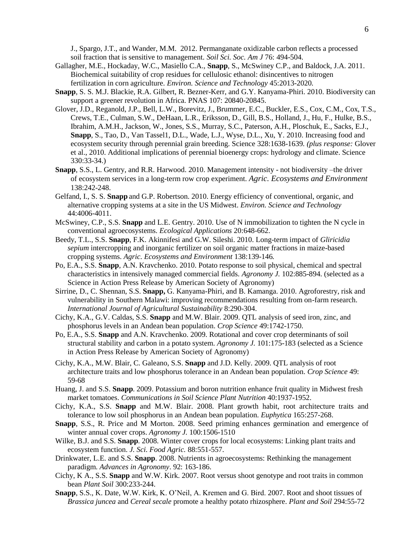J., Spargo, J.T., and Wander, M.M. 2012. Permanganate oxidizable carbon reflects a processed soil fraction that is sensitive to management. *Soil Sci. Soc. Am J* 76: 494-504.

- Gallagher, M.E., Hockaday, W.C., Masiello C.A., **Snapp**, S., McSwiney C.P., and Baldock, J.A. 2011. Biochemical suitability of crop residues for cellulosic ethanol: disincentives to nitrogen fertilization in corn agriculture. *Environ. Science and Technology* 45:2013-2020*.*
- **Snapp**, S. S. M.J. Blackie, R.A. Gilbert, R. Bezner-Kerr, and G.Y. Kanyama-Phiri. 2010. Biodiversity can support a greener revolution in Africa. PNAS 107: 20840-20845.
- Glover, J.D., Reganold, J.P., Bell, L.W., Borevitz, J., Brummer, E.C., Buckler, E.S., Cox, C.M., Cox, T.S., Crews, T.E., Culman, S.W., DeHaan, L.R., Eriksson, D., Gill, B.S., Holland, J., Hu, F., Hulke, B.S., Ibrahim, A.M.H., Jackson, W., Jones, S.S., Murray, S.C., Paterson, A.H., Ploschuk, E., Sacks, E.J., **Snapp**, S., Tao, D., Van Tassel1, D.L., Wade, L.J., Wyse, D.L., Xu, Y. 2010. Increasing food and ecosystem security through perennial grain breeding. Science 328:1638-1639*. (plus response:* Glover et al., 2010. Additional implications of perennial bioenergy crops: hydrology and climate. Science 330:33-34.)
- **Snapp**, S.S., L. Gentry, and R.R. Harwood. 2010. Management intensity not biodiversity –the driver of ecosystem services in a long-term row crop experiment. *Agric. Ecosystems and Environment* 138:242-248.
- Gelfand, I., S. S. **Snapp** and G.P. Robertson. 2010. Energy efficiency of conventional, organic, and alternative cropping systems at a site in the US Midwest. *Environ. Science and Technology*  44:4006-4011.
- McSwiney, C.P., S.S. **Snapp** and L.E. Gentry. 2010. Use of N immobilization to tighten the N cycle in conventional agroecosystems. *Ecological Applications* 20:648-662.
- Beedy, T.L., S.S. **Snapp**, F.K. Akinnifesi and G.W. Sileshi. 2010. Long-term impact of *Gliricidia sepium* intercropping and inorganic fertilizer on soil organic matter fractions in maize-based cropping systems. *Agric. Ecosystems and Environment* 138:139-146*.*
- Po, E.A., S.S. **Snapp**, A.N. Kravchenko. 2010. Potato response to soil physical, chemical and spectral characteristics in intensively managed commercial fields. *Agronomy J.* 102:885-894. (selected as a Science in Action Press Release by American Society of Agronomy)
- Sirrine, D., C. Shennan, S.S. **Snapp,** G. Kanyama-Phiri, and B. Kamanga. 2010. Agroforestry, risk and vulnerability in Southern Malawi: improving recommendations resulting from on-farm research. *International Journal of Agricultural Sustainability* 8:290-304.
- Cichy, K.A., G.V. Caldas, S.S. **Snapp** and M.W. Blair. 2009. QTL analysis of seed iron, zinc, and phosphorus levels in an Andean bean population. *Crop Science* 49:1742-1750.
- Po, E.A., S.S. **Snapp** and A.N. Kravchenko. 2009. Rotational and cover crop determinants of soil structural stability and carbon in a potato system. *Agronomy J.* 101:175-183 (selected as a Science in Action Press Release by American Society of Agronomy)
- Cichy, K.A., M.W. Blair, C. Galeano, S.S. **Snapp** and J.D. Kelly. 2009. QTL analysis of root architecture traits and low phosphorus tolerance in an Andean bean population. *Crop Science* 49: 59-68
- Huang, J. and S.S. **Snapp**. 2009. Potassium and boron nutrition enhance fruit quality in Midwest fresh market tomatoes. *Communications in Soil Science Plant Nutrition* 40:1937-1952.
- Cichy, K.A., S.S. **Snapp** and M.W. Blair. 2008. Plant growth habit, root architecture traits and tolerance to low soil phosphorus in an Andean bean population. *Euphytica* 165:257-268.
- **Snapp**, S.S., R. Price and M Morton. 2008. Seed priming enhances germination and emergence of winter annual cover crops. *Agronomy J.* 100:1506-1510
- Wilke, B.J. and S.S. **Snapp**. 2008. Winter cover crops for local ecosystems: Linking plant traits and ecosystem function. *J. Sci. Food Agric.* 88:551-557.
- Drinkwater, L.E. and S.S. **Snapp**. 2008. Nutrients in agroecosystems: Rethinking the management paradigm. *Advances in Agronomy*. 92: 163-186.
- Cichy, K A., S.S. **Snapp** and W.W. Kirk. 2007. Root versus shoot genotype and root traits in common bean *Plant Soil* 300:233-244.
- **Snapp**, S.S., K. Date, W.W. Kirk, K. O'Neil, A. Kremen and G. Bird. 2007. Root and shoot tissues of *Brassica juncea* and *Cereal secale* promote a healthy potato rhizosphere. *Plant and Soil* 294:55-72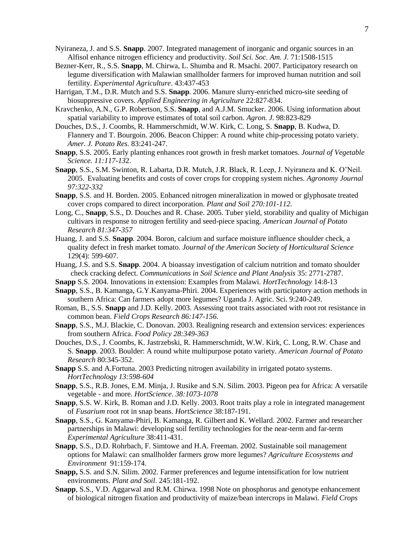- Nyiraneza, J. and S.S. **Snapp**. 2007. Integrated management of inorganic and organic sources in an Alfisol enhance nitrogen efficiency and productivity. *Soil Sci. Soc. Am. J.* 71:1508-1515
- Bezner-Kerr, R., S.S. **Snapp**, M. Chirwa, L. Shumba and R. Msachi. 2007. Participatory research on legume diversification with Malawian smallholder farmers for improved human nutrition and soil fertility. *Experimental Agriculture*. 43:437-453
- Harrigan, T.M., D.R. Mutch and S.S. **Snapp**. 2006. Manure slurry-enriched micro-site seeding of biosuppressive covers. *Applied Engineering in Agriculture* 22:827-834.
- Kravchenko, A.N., G.P. Robertson, S.S. **Snapp**, and A.J.M. Smucker. 2006. Using information about spatial variability to improve estimates of total soil carbon. *Agron. J.* 98:823-829
- Douches, D.S., J. Coombs, R. Hammerschmidt, W.W. Kirk, C. Long, S. **Snapp**, B. Kudwa, D. Flannery and T. Bourgoin. 2006. Beacon Chipper: A round white chip-processing potato variety. *Amer. J. Potato Res.* 83:241-247.
- **Snapp**, S.S. 2005. Early planting enhances root growth in fresh market tomatoes. *Journal of Vegetable Science. 11:117-13*2.
- **Snapp**, S.S., S.M. Swinton, R. Labarta, D.R. Mutch, J.R. Black, R. Leep, J. Nyiraneza and K. O'Neil. 2005. Evaluating benefits and costs of cover crops for cropping system niches. *Agronomy Journal 97:322-332*
- **Snapp**, S.S. and H. Borden. 2005. Enhanced nitrogen mineralization in mowed or glyphosate treated cover crops compared to direct incorporation. *Plant and Soil 270:101-112.*
- Long, C., **Snapp**, S.S., D. Douches and R. Chase. 2005. Tuber yield, storability and quality of Michigan cultivars in response to nitrogen fertility and seed-piece spacing. *American Journal of Potato Research 81:347-357*
- Huang, J. and S.S. **Snapp**. 2004. Boron, calcium and surface moisture influence shoulder check, a quality defect in fresh market tomato. *Journal of the American Society of Horticultural Science* 129(4): 599-607.
- Huang, J.S. and S.S. **Snapp**. 2004. A bioassay investigation of calcium nutrition and tomato shoulder check cracking defect. *Communications in Soil Science and Plant Analysis* 35: 2771-2787.
- **Snapp** S.S. 2004. Innovations in extension: Examples from Malawi. *HortTechnology* 14:8-13
- **Snapp**, S.S., B. Kamanga, G.Y.Kanyama-Phiri. 2004. Experiences with participatory action methods in southern Africa: Can farmers adopt more legumes? Uganda J. Agric. Sci. 9:240-249.
- Roman, B., S.S. **Snapp** and J.D. Kelly. 2003. Assessing root traits associated with root rot resistance in common bean. *Field Crops Research 86:147-156.*
- **Snapp**, S.S., M.J. Blackie, C. Donovan. 2003. Realigning research and extension services: experiences from southern Africa. *Food Policy 28:349-363*
- Douches, D.S., J. Coombs, K. Jastrzebski, R. Hammerschmidt, W.W. Kirk, C. Long, R.W. Chase and S. **Snapp**. 2003. Boulder: A round white multipurpose potato variety. *American Journal of Potato Research* 80:345-352.
- **Snapp** S.S. and A.Fortuna. 2003 Predicting nitrogen availability in irrigated potato systems. *HortTechnology 13:598-604*
- **Snapp**, S.S., R.B. Jones, E.M. Minja, J. Rusike and S.N. Silim. 2003. Pigeon pea for Africa: A versatile vegetable - and more. *HortScience*. *38:1073-1078*
- **Snapp**, S.S. W. Kirk, B. Roman and J.D. Kelly. 2003. Root traits play a role in integrated management of *Fusarium* root rot in snap beans. *HortScience* 38:187-191.
- **Snapp**, S.S., G. Kanyama-Phiri, B. Kamanga, R. Gilbert and K. Wellard. 2002. Farmer and researcher partnerships in Malawi: developing soil fertility technologies for the near-term and far-term *Experimental Agriculture* 38:411-431.
- **Snapp**, S.S., D.D. Rohrbach, F. Simtowe and H.A. Freeman. 2002. Sustainable soil management options for Malawi: can smallholder farmers grow more legumes? *Agriculture Ecosystems and Environment* 91:159-174.
- **Snapp,** S.S. and S.N. Silim. 2002. Farmer preferences and legume intensification for low nutrient environments. *Plant and Soil*. 245:181-192.
- **Snapp**, S.S., V.D. Aggarwal and R.M. Chirwa. 1998 Note on phosphorus and genotype enhancement of biological nitrogen fixation and productivity of maize/bean intercrops in Malawi. *Field Crops*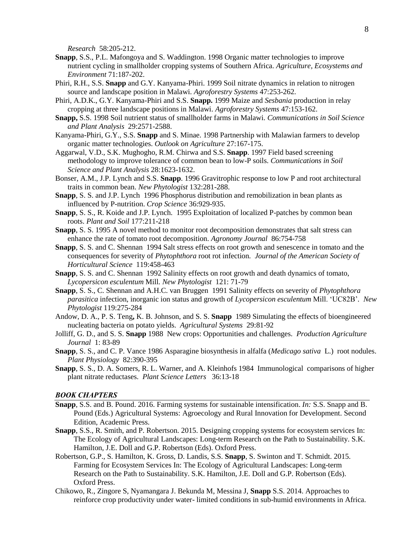*Research* 58:205-212.

- **Snapp**, S.S., P.L. Mafongoya and S. Waddington. 1998 Organic matter technologies to improve nutrient cycling in smallholder cropping systems of Southern Africa. *Agriculture, Ecosystems and Environment* 71:187-202.
- Phiri, R.H., S.S. **Snapp** and G.Y. Kanyama-Phiri. 1999 Soil nitrate dynamics in relation to nitrogen source and landscape position in Malawi. *Agroforestry Systems* 47:253-262.
- Phiri, A.D.K., G.Y. Kanyama-Phiri and S.S. **Snapp.** 1999 Maize and *Sesbania* production in relay cropping at three landscape positions in Malawi. *Agroforestry Systems* 47:153-162.
- **Snapp,** S.S. 1998 Soil nutrient status of smallholder farms in Malawi. *Communications in Soil Science and Plant Analysis* 29:2571-2588.
- Kanyama-Phiri, G.Y., S.S. **Snapp** and S. Minae. 1998 Partnership with Malawian farmers to develop organic matter technologies. *Outlook on Agriculture* 27:167-175.
- Aggarwal, V.D., S.K. Mughogho, R.M. Chirwa and S.S. **Snapp**. 1997 Field based screening methodology to improve tolerance of common bean to low-P soils. *Communications in Soil Science and Plant Analysis* 28:1623-1632.
- Bonser, A.M., J.P. Lynch and S.S. **Snapp**. 1996 Gravitrophic response to low P and root architectural traits in common bean. *New Phytologist* 132:281-288.
- **Snapp**, S. S. and J.P. Lynch 1996 Phosphorus distribution and remobilization in bean plants as influenced by P-nutrition. *Crop Science* 36:929-935.
- **Snapp**, S. S., R. Koide and J.P. Lynch. 1995 Exploitation of localized P-patches by common bean roots. *Plant and Soil* 177:211-218
- **Snapp**, S. S. 1995 A novel method to monitor root decomposition demonstrates that salt stress can enhance the rate of tomato root decomposition. *Agronomy Journal* 86:754-758
- **Snapp**, S. S. and C. Shennan 1994 Salt stress effects on root growth and senescence in tomato and the consequences for severity of *Phytophthora* root rot infection*. Journal of the American Society of Horticultural Science* 119:458-463
- **Snapp**, S. S. and C. Shennan 1992 Salinity effects on root growth and death dynamics of tomato, *Lycopersicon esculentum* Mill*. New Phytologist* 121: 71-79
- **Snapp**, S. S., C. Shennan and A.H.C. van Bruggen 1991 Salinity effects on severity of *Phytophthora parasitica* infection, inorganic ion status and growth of *Lycopersicon esculentum* Mill. 'UC82B'*. New Phytologist* 119:275-284
- Andow, D. A., P. S. Teng**,** K. B. Johnson, and S. S. **Snapp** 1989 Simulating the effects of bioengineered nucleating bacteria on potato yields. *Agricultural Systems* 29:81-92
- Jolliff, G. D., and S. S. **Snapp** 1988 New crops: Opportunities and challenges. *Production Agriculture Journal* 1: 83-89
- **Snapp**, S. S., and C. P. Vance 1986 Asparagine biosynthesis in alfalfa (*Medicago sativa* L.) root nodules. *Plant Physiology* 82:390-395
- **Snapp**, S. S., D. A. Somers, R. L. Warner, and A. Kleinhofs 1984 Immunological comparisons of higher plant nitrate reductases. *Plant Science Letters* 36:13-18

#### *BOOK CHAPTERS*

- **Snapp**, S.S. and B. Pound. 2016. Farming systems for sustainable intensification. *In:* S.S. Snapp and B. Pound (Eds.) Agricultural Systems: Agroecology and Rural Innovation for Development. Second Edition, Academic Press.
- **Snapp**, S.S., R. Smith, and P. Robertson. 2015. Designing cropping systems for ecosystem services In: The Ecology of Agricultural Landscapes: Long-term Research on the Path to Sustainability. S.K. Hamilton, J.E. Doll and G.P. Robertson (Eds). Oxford Press.
- Robertson, G.P., S. Hamilton, K. Gross, D. Landis, S.S. **Snapp**, S. Swinton and T. Schmidt. 2015. Farming for Ecosystem Services In: The Ecology of Agricultural Landscapes: Long-term Research on the Path to Sustainability. S.K. Hamilton, J.E. Doll and G.P. Robertson (Eds). Oxford Press.
- Chikowo, R., Zingore S, Nyamangara J. Bekunda M, Messina J, **Snapp** S.S. 2014. Approaches to reinforce crop productivity under water- limited conditions in sub-humid environments in Africa.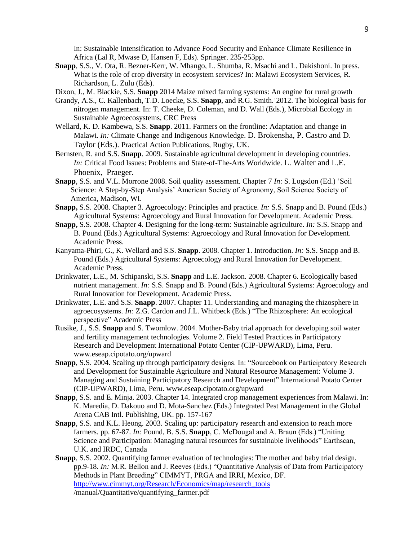In: Sustainable Intensification to Advance Food Security and Enhance Climate Resilience in Africa (Lal R, Mwase D, Hansen F, Eds). Springer. 235-253pp.

**Snapp**, S.S., V. Ota, R. Bezner-Kerr, W. Mhango, L. Shumba, R. Msachi and L. Dakishoni. In press. What is the role of crop diversity in ecosystem services? In: Malawi Ecosystem Services, R. Richardson, L. Zulu (Eds).

Dixon, J., M. Blackie, S.S. **Snapp** 2014 Maize mixed farming systems: An engine for rural growth

- Grandy, A.S., C. Kallenbach, T.D. Loecke, S.S. **Snapp**, and R.G. Smith.. 2012. The biological basis for nitrogen management. In: T. Cheeke, D. Coleman, and D. Wall (Eds.), Microbial Ecology in Sustainable Agroecosystems, CRC Press
- Wellard, K. D. Kambewa, S.S. **Snapp**. 2011. Farmers on the frontline: Adaptation and change in Malawi. *In:* Climate Change and Indigenous Knowledge. D. Brokensha, P. Castro and D. Taylor (Eds.). Practical Action Publications, Rugby, UK.
- Bernsten, R. and S.S. **Snapp**. 2009. Sustainable agricultural development in developing countries. *In:* Critical Food Issues: Problems and State-of-The-Arts Worldwide. L. Walter and L.E. Phoenix, Praeger.
- **Snapp**, S.S. and V.L. Morrone 2008. Soil quality assessment. Chapter 7 *In*: S. Logsdon (Ed.) 'Soil Science: A Step-by-Step Analysis' American Society of Agronomy, Soil Science Society of America, Madison, WI.
- **Snapp,** S.S. 2008. Chapter 3. Agroecology: Principles and practice. *In:* S.S. Snapp and B. Pound (Eds.) Agricultural Systems: Agroecology and Rural Innovation for Development. Academic Press.
- **Snapp,** S.S. 2008. Chapter 4. Designing for the long-term: Sustainable agriculture. *In:* S.S. Snapp and B. Pound (Eds.) Agricultural Systems: Agroecology and Rural Innovation for Development. Academic Press.
- Kanyama-Phiri, G., K. Wellard and S.S. **Snapp**. 2008. Chapter 1. Introduction. *In:* S.S. Snapp and B. Pound (Eds.) Agricultural Systems: Agroecology and Rural Innovation for Development. Academic Press.
- Drinkwater, L.E., M. Schipanski, S.S. **Snapp** and L.E. Jackson. 2008. Chapter 6. Ecologically based nutrient management. *In:* S.S. Snapp and B. Pound (Eds.) Agricultural Systems: Agroecology and Rural Innovation for Development. Academic Press.
- Drinkwater, L.E. and S.S. **Snapp**. 2007. Chapter 11. Understanding and managing the rhizosphere in agroecosystems. *In:* Z.G. Cardon and J.L. Whitbeck (Eds.) "The Rhizosphere: An ecological perspective" Academic Press
- Rusike, J., S.S. **Snapp** and S. Twomlow. 2004. Mother-Baby trial approach for developing soil water and fertility management technologies. Volume 2. Field Tested Practices in Participatory Research and Development International Potato Center (CIP-UPWARD), Lima, Peru. www.eseap.cipotato.org/upward
- **Snapp**, S.S. 2004. Scaling up through participatory designs. In: "Sourcebook on Participatory Research and Development for Sustainable Agriculture and Natural Resource Management: Volume 3. Managing and Sustaining Participatory Research and Development" International Potato Center (CIP-UPWARD), Lima, Peru. www.eseap.cipotato.org/upward
- **Snapp**, S.S. and E. Minja. 2003. Chapter 14. Integrated crop management experiences from Malawi. In: K. Maredia, D. Dakouo and D. Mota-Sanchez (Eds.) Integrated Pest Management in the Global Arena CAB Intl. Publishing, UK. pp. 157-167
- **Snapp**, S.S. and K.L. Heong. 2003. Scaling up: participatory research and extension to reach more farmers. pp. 67-87. *In:* Pound, B. S.S. **Snapp**, C. McDougal and A. Braun (Eds.) "Uniting Science and Participation: Managing natural resources for sustainable livelihoods" Earthscan, U.K. and IRDC, Canada
- **Snapp**, S.S. 2002. Quantifying farmer evaluation of technologies: The mother and baby trial design. pp.9-18. *In:* M.R. Bellon and J. Reeves (Eds.) "Quantitative Analysis of Data from Participatory Methods in Plant Breeding" CIMMYT, PRGA and IRRI, Mexico, DF. [http://www.cimmyt.org/Research/Economics/map/research\\_tools](http://www.cimmyt.org/Research/Economics/map/research_tools) /manual/Quantitative/quantifying\_farmer.pdf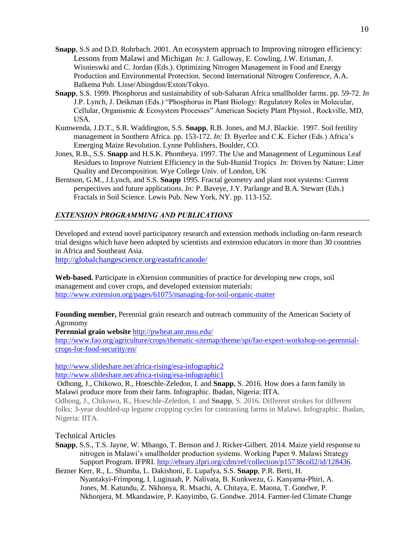- **Snapp**, S.S and D.D. Rohrbach. 2001. An ecosystem approach to Improving nitrogen efficiency: Lessons from Malawi and Michigan *In:* J. Galloway, E. Cowling, J.W. Erisman, J. Wisnieswki and C. Jordan (Eds.). Optimizing Nitrogen Management in Food and Energy Production and Environmental Protection. Second International Nitrogen Conference, A.A. Balkema Pub. Lisse/Abingdon/Exton/Tokyo.
- **Snapp**, S.S. 1999. Phosphorus and sustainability of sub-Saharan Africa smallholder farms. pp. 59-72. *In* J.P. Lynch, J. Deikman (Eds.) "Phosphorus in Plant Biology: Regulatory Roles in Molecular, Cellular, Organismic & Ecosystem Processes" American Society Plant Physiol., Rockville, MD, USA.
- Kumwenda, J.D.T., S.R. Waddington, S.S. **Snapp**, R.B. Jones, and M.J. Blackie. 1997. Soil fertility management in Southern Africa. pp. 153-172. *In:* D. Byerlee and C.K. Eicher (Eds.) Africa's Emerging Maize Revolution. Lynne Publishers, Boulder, CO.
- Jones, R.B., S.S. **Snapp** and H.S.K. Phombeya. 1997. The Use and Management of Leguminous Leaf Residues to Improve Nutrient Efficiency in the Sub-Humid Tropics *In:* Driven by Nature: Litter Quality and Decomposition. Wye College Univ. of London, UK
- Berntson, G.M., J.Lynch, and S.S. **Snapp** 1995. Fractal geometry and plant root systems: Current perspectives and future applications. *In:* P. Baveye, J.Y. Parlange and B.A. Stewart (Eds.) Fractals in Soil Science. Lewis Pub. New York, NY. pp. 113-152.

### *EXTENSION PROGRAMMING AND PUBLICATIONS*

Developed and extend novel participatory research and extension methods including on-farm research trial designs which have been adopted by scientists and extension educators in more than 30 countries in Africa and Southeast Asia.

<http://globalchangescience.org/eastafricanode/>

**Web-based.** Participate in eXtension communities of practice for developing new crops, soil management and cover crops, and developed extension materials: <http://www.extension.org/pages/61075/managing-for-soil-organic-matter>

**Founding member,** Perennial grain research and outreach community of the American Society of Agronomy

**Perennial grain website** <http://pwheat.anr.msu.edu/>

[http://www.fao.org/agriculture/crops/thematic-sitemap/theme/spi/fao-expert-workshop-on-perennial](http://www.fao.org/agriculture/crops/thematic-sitemap/theme/spi/fao-expert-workshop-on-perennial-crops-for-food-security/en/)[crops-for-food-security/en/](http://www.fao.org/agriculture/crops/thematic-sitemap/theme/spi/fao-expert-workshop-on-perennial-crops-for-food-security/en/)

<http://www.slideshare.net/africa-rising/esa-infographic2>

<http://www.slideshare.net/africa-rising/esa-infographic1>

Odhong, J., Chikowo, R., Hoeschle-Zeledon, I. and **Snapp**, S. 2016. How does a farm family in Malawi produce more from their farm. Infographic. Ibadan, Nigeria: IITA.

Odhong, J., Chikowo, R., Hoeschle-Zeledon, I. and **Snapp**, S. 2016. Different strokes for different folks: 3-year doubled-up legume cropping cycles for contrasting farms in Malawi. Infographic. Ibadan, Nigeria: IITA.

#### Technical Articles

- **Snapp**, S.S., T.S. Jayne, W. Mhango, T. Benson and J. Ricker-Gilbert. 2014. Maize yield response to nitrogen in Malawi's smallholder production systems. Working Paper 9. Malawi Strategy Support Program. IFPRI. [http://ebrary.ifpri.org/cdm/ref/collection/p15738coll2/id/128436.](http://ebrary.ifpri.org/cdm/ref/collection/p15738coll2/id/128436)
- Bezner Kerr, R., L. Shumba, L. Dakishoni, E. Lupafya, S.S. **Snapp**, P.R. Berti, H. Nyantakyi-Frimpong, I. Luginaah, P. Nalivata, B. Kunkwezu, G. Kanyama-Phiri, A. Jones, M. Katundu, Z. Nkhonya, R. Msachi, A. Chitaya, E. Maona, T. Gondwe, P. Nkhonjera, M. Mkandawire, P. Kanyimbo, G. Gondwe. 2014. Farmer-led Climate Change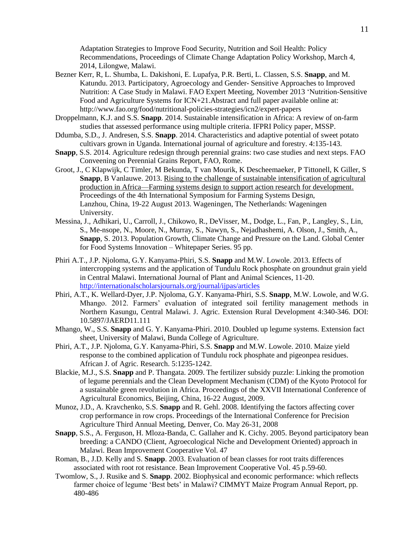Adaptation Strategies to Improve Food Security, Nutrition and Soil Health: Policy Recommendations, Proceedings of Climate Change Adaptation Policy Workshop, March 4, 2014, Lilongwe, Malawi.

- Bezner Kerr, R, L. Shumba, L. Dakishoni, E. Lupafya, P.R. Berti, L. Classen, S.S. **Snapp**, and M. Katundu. 2013. Participatory, Agroecology and Gender- Sensitive Approaches to Improved Nutrition: A Case Study in Malawi. FAO Expert Meeting, November 2013 'Nutrition-Sensitive Food and Agriculture Systems for ICN+21.Abstract and full paper available online at: http://www.fao.org/food/nutritional-policies-strategies/icn2/expert-papers
- Droppelmann, K.J. and S.S. **Snapp**. 2014. Sustainable intensification in Africa: A review of on-farm studies that assessed performance using multiple criteria. IFPRI Policy paper, MSSP.
- Ddumba, S.D., J. Andresen, S.S. **Snapp**. 2014. Characteristics and adaptive potential of sweet potato cultivars grown in Uganda. International journal of agriculture and forestry. 4:135-143.
- **Snapp**, S.S. 2014. Agriculture redesign through perennial grains: two case studies and next steps. FAO Conveening on Perennial Grains Report, FAO, Rome.
- Groot, J., C Klapwijk, C Timler, M Bekunda, T van Mourik, K Descheemaeker, P Tittonell, K Giller, S **Snapp**, B Vanlauwe. 2013. [Rising to the challenge of sustainable intensification of agricultural](http://cgspace.cgiar.org/handle/10568/33870)  [production in Africa—Farming systems design to support action research for development.](http://cgspace.cgiar.org/handle/10568/33870) Proceedings of the 4th International Symposium for Farming Systems Design, Lanzhou, China, 19-22 August 2013. Wageningen, The Netherlands: Wageningen University.
- Messina, J., Adhikari, U., Carroll, J., Chikowo, R., DeVisser, M., Dodge, L., Fan, P., Langley, S., Lin, S., Me-nsope, N., Moore, N., Murray, S., Nawyn, S., Nejadhashemi, A. Olson, J., Smith, A., **Snapp**, S. 2013. Population Growth, Climate Change and Pressure on the Land. Global Center for Food Systems Innovation – Whitepaper Series. 95 pp.
- Phiri A.T., J.P. Njoloma, G.Y. Kanyama-Phiri, S.S. **Snapp** and M.W. Lowole. 2013. Effects of intercropping systems and the application of Tundulu Rock phosphate on groundnut grain yield in Central Malawi. International Journal of Plant and Animal Sciences, 11-20. <http://internationalscholarsjournals.org/journal/ijpas/articles>
- Phiri, A.T., K. Wellard-Dyer, J.P. Njoloma, G.Y. Kanyama-Phiri, S.S. **Snapp**, M.W. Lowole, and W.G. Mhango. 2012. Farmers' evaluation of integrated soil fertility management methods in Northern Kasungu, Central Malawi. J. Agric. Extension Rural Development 4:340-346. DOI: 10.5897/JAERD11.111
- Mhango, W., S.S. **Snapp** and G. Y. Kanyama-Phiri. 2010. Doubled up legume systems. Extension fact sheet, University of Malawi, Bunda College of Agriculture.
- Phiri, A.T., J.P. Njoloma, G.Y. Kanyama-Phiri, S.S. **Snapp** and M.W. Lowole. 2010. Maize yield response to the combined application of Tundulu rock phosphate and pigeonpea residues. African J. of Agric. Research. 5:1235-1242.
- Blackie, M.J., S.S. **Snapp** and P. Thangata. 2009. The fertilizer subsidy puzzle: Linking the promotion of legume perennials and the Clean Development Mechanism (CDM) of the Kyoto Protocol for a sustainable green revolution in Africa. Proceedings of the XXVII International Conference of Agricultural Economics, Beijing, China, 16-22 August, 2009.
- Munoz, J.D., A. Kravchenko, S.S. **Snapp** and R. Gehl. 2008. Identifying the factors affecting cover crop performance in row crops. Proceedings of the International Conference for Precision Agriculture Third Annual Meeting, Denver, Co. May 26-31, 2008
- **Snapp**, S.S., A. Ferguson, H. Mloza-Banda, C. Gallaher and K. Cichy. 2005. Beyond participatory bean breeding: a CANDO (Client, Agroecological Niche and Development Oriented) approach in Malawi. Bean Improvement Cooperative Vol. 47
- Roman, B., J.D. Kelly and S. **Snapp**. 2003. Evaluation of bean classes for root traits differences associated with root rot resistance. Bean Improvement Cooperative Vol. 45 p.59-60.
- Twomlow, S., J. Rusike and S. **Snapp**. 2002. Biophysical and economic performance: which reflects farmer choice of legume 'Best bets' in Malawi? CIMMYT Maize Program Annual Report, pp. 480-486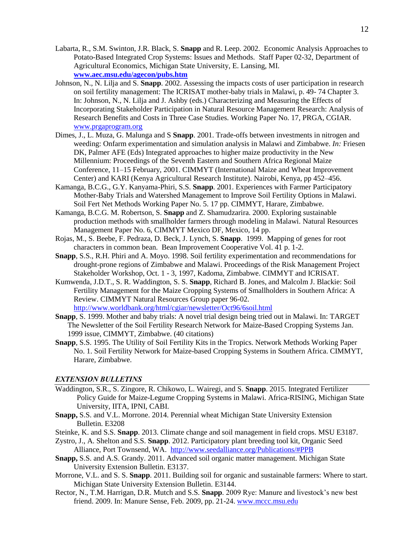- Labarta, R., S.M. Swinton, J.R. Black, S. **Snapp** and R. Leep. 2002. Economic Analysis Approaches to Potato-Based Integrated Crop Systems: Issues and Methods. Staff Paper 02-32, Department of Agricultural Economics, Michigan State University, E. Lansing, MI. **[www.aec.msu.edu/agecon/pubs.htm](http://www.aec.msu.edu/agecon/pubs.htm)**
- Johnson, N., N. Lilja and S. **Snapp**. 2002. Assessing the impacts costs of user participation in research on soil fertility management: The ICRISAT mother-baby trials in Malawi, p. 49- 74 Chapter 3. In: Johnson, N., N. Lilja and J. Ashby (eds.) Characterizing and Measuring the Effects of Incorporating Stakeholder Participation in Natural Resource Management Research: Analysis of Research Benefits and Costs in Three Case Studies. Working Paper No. 17, PRGA, CGIAR. [www.prgaprogram.org](http://www.prgaprogram.org/)
- Dimes, J., L. Muza, G. Malunga and S **Snapp**. 2001. Trade-offs between investments in nitrogen and weeding: Onfarm experimentation and simulation analysis in Malawi and Zimbabwe. *In:* Friesen DK, Palmer AFE (Eds) Integrated approaches to higher maize productivity in the New Millennium: Proceedings of the Seventh Eastern and Southern Africa Regional Maize Conference, 11–15 February, 2001. CIMMYT (International Maize and Wheat Improvement Center) and KARI (Kenya Agricultural Research Institute). Nairobi, Kenya, pp 452–456.
- Kamanga, B.C.G., G.Y. Kanyama-Phiri, S.S. **Snapp**. 2001. Experiences with Farmer Participatory Mother-Baby Trials and Watershed Management to Improve Soil Fertility Options in Malawi. Soil Fert Net Methods Working Paper No. 5. 17 pp. CIMMYT, Harare, Zimbabwe.
- Kamanga, B.C.G. M. Robertson, S. **Snapp** and Z. Shamudzarira. 2000. Exploring sustainable production methods with smallholder farmers through modeling in Malawi. Natural Resources Management Paper No. 6, CIMMYT Mexico DF, Mexico, 14 pp.
- Rojas, M., S. Beebe, F. Pedraza, D. Beck, J. Lynch, S. **Snapp**. 1999. Mapping of genes for root characters in common bean. Bean Improvement Cooperative Vol. 41 p. 1-2.
- **Snapp**, S.S., R.H. Phiri and A. Moyo. 1998. Soil fertility experimentation and recommendations for drought-prone regions of Zimbabwe and Malawi. Proceedings of the Risk Management Project Stakeholder Workshop, Oct. 1 - 3, 1997, Kadoma, Zimbabwe. CIMMYT and ICRISAT.
- Kumwenda, J.D.T., S. R. Waddington, S. S. **Snapp**, Richard B. Jones, and Malcolm J. Blackie: Soil Fertility Management for the Maize Cropping Systems of Smallholders in Southern Africa: A Review. CIMMYT Natural Resources Group paper 96-02. <http://www.worldbank.org/html/cgiar/newsletter/Oct96/6soil.html>
- **Snapp**, S. 1999. Mother and baby trials: A novel trial design being tried out in Malawi. In: TARGET The Newsletter of the Soil Fertility Research Network for Maize-Based Cropping Systems Jan. 1999 issue, CIMMYT, Zimbabwe. (40 citations)
- **Snapp**, S.S. 1995. The Utility of Soil Fertility Kits in the Tropics. Network Methods Working Paper No. 1. Soil Fertility Network for Maize-based Cropping Systems in Southern Africa. CIMMYT, Harare, Zimbabwe.

### *EXTENSION BULLETINS*

- Waddington, S.R., S. Zingore, R. Chikowo, L. Wairegi, and S. **Snapp**. 2015. Integrated Fertilizer Policy Guide for Maize-Legume Cropping Systems in Malawi. Africa-RISING, Michigan State University, IITA, IPNI, CABI.
- **Snapp,** S.S. and V.L. Morrone. 2014. Perennial wheat Michigan State University Extension Bulletin. E3208
- Steinke, K. and S.S. **Snapp**. 2013. Climate change and soil management in field crops. MSU E3187.
- Zystro, J., A. Shelton and S.S. **Snapp**. 2012. Participatory plant breeding tool kit, Organic Seed Alliance, Port Townsend, WA. http://www.seedalliance.org/Publications/#PPB
- **Snapp,** S.S. and A.S. Grandy. 2011. Advanced soil organic matter management. Michigan State University Extension Bulletin. E3137.
- Morrone, V.L. and S. S. **Snapp**. 2011. Building soil for organic and sustainable farmers: Where to start. Michigan State University Extension Bulletin. E3144.
- Rector, N., T.M. Harrigan, D.R. Mutch and S.S. **Snapp**. 2009 Rye: Manure and livestock's new best friend. 2009. In: Manure Sense, Feb. 2009, pp. 21-24. [www.mccc.msu.edu](http://www.mccc.msu.edu/)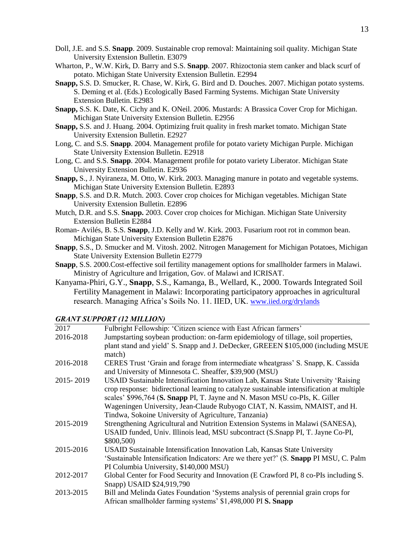- Doll, J.E. and S.S. **Snapp**. 2009. Sustainable crop removal: Maintaining soil quality. Michigan State University Extension Bulletin. E3079
- Wharton, P., W.W. Kirk, D. Barry and S.S. **Snapp**. 2007. Rhizoctonia stem canker and black scurf of potato. Michigan State University Extension Bulletin. E2994
- **Snapp,** S.S. D. Smucker, R. Chase, W. Kirk, G. Bird and D. Douches. 2007. Michigan potato systems. S. Deming et al. (Eds.) Ecologically Based Farming Systems. Michigan State University Extension Bulletin. E2983
- **Snapp,** S.S. K. Date, K. Cichy and K. ONeil. 2006. Mustards: A Brassica Cover Crop for Michigan. Michigan State University Extension Bulletin. E2956
- **Snapp,** S.S. and J. Huang. 2004. Optimizing fruit quality in fresh market tomato. Michigan State University Extension Bulletin. E2927
- Long, C. and S.S. **Snapp**. 2004. Management profile for potato variety Michigan Purple. Michigan State University Extension Bulletin. E2918
- Long, C. and S.S. **Snapp**. 2004. Management profile for potato variety Liberator. Michigan State University Extension Bulletin. E2936
- **Snapp,** S., J. Nyiraneza, M. Otto, W. Kirk. 2003. Managing manure in potato and vegetable systems. Michigan State University Extension Bulletin. E2893
- **Snapp**, S.S. and D.R. Mutch. 2003. Cover crop choices for Michigan vegetables. Michigan State University Extension Bulletin. E2896
- Mutch, D.R. and S.S. **Snapp.** 2003. Cover crop choices for Michigan. Michigan State University Extension Bulletin E2884
- Roman- Avilés, B. S.S. **Snapp**, J.D. Kelly and W. Kirk. 2003. Fusarium root rot in common bean. Michigan State University Extension Bulletin E2876
- **Snapp**, S.S., D. Smucker and M. Vitosh. 2002. Nitrogen Management for Michigan Potatoes, Michigan State University Extension Bulletin E2779
- **Snapp**, S.S. 2000.Cost-effective soil fertility management options for smallholder farmers in Malawi. Ministry of Agriculture and Irrigation, Gov. of Malawi and ICRISAT.
- Kanyama-Phiri, G.Y., **Snapp**, S.S., Kamanga, B., Wellard, K., 2000. Towards Integrated Soil Fertility Management in Malawi: Incorporating participatory approaches in agricultural research. Managing Africa's Soils No. 11. IIED, UK. [www.iied.org/drylands](http://www.iied.org/drylands)

#### *GRANT SUPPORT (12 MILLION)*

| 2017      | Fulbright Fellowship: 'Citizen science with East African farmers'                              |
|-----------|------------------------------------------------------------------------------------------------|
| 2016-2018 | Jumpstarting soybean production: on-farm epidemiology of tillage, soil properties,             |
|           | plant stand and yield' S. Snapp and J. DeDecker, GREEEN \$105,000 (including MSUE              |
|           | match)                                                                                         |
| 2016-2018 | CERES Trust 'Grain and forage from intermediate wheatgrass' S. Snapp, K. Cassida               |
|           | and University of Minnesota C. Sheaffer, \$39,900 (MSU)                                        |
| 2015-2019 | USAID Sustainable Intensification Innovation Lab, Kansas State University 'Raising             |
|           | crop response: bidirectional learning to catalyze sustainable intensification at multiple      |
|           | scales' \$996,764 (S. Snapp PI, T. Jayne and N. Mason MSU co-PIs, K. Giller                    |
|           | Wageningen University, Jean-Claude Rubyogo CIAT, N. Kassim, NMAIST, and H.                     |
|           | Tindwa, Sokoine University of Agriculture, Tanzania)                                           |
| 2015-2019 | Strengthening Agricultural and Nutrition Extension Systems in Malawi (SANESA),                 |
|           | USAID funded, Univ. Illinois lead, MSU subcontract (S.Snapp PI, T. Jayne Co-PI,                |
|           | \$800,500)                                                                                     |
| 2015-2016 | USAID Sustainable Intensification Innovation Lab, Kansas State University                      |
|           | 'Sustainable Intensification Indicators: Are we there yet?' (S. <b>Snapp PI MSU, C. Palm</b> ) |
|           | PI Columbia University, \$140,000 MSU)                                                         |
| 2012-2017 | Global Center for Food Security and Innovation (E Crawford PI, 8 co-PIs including S.           |
|           | Snapp) USAID \$24,919,790                                                                      |
| 2013-2015 | Bill and Melinda Gates Foundation 'Systems analysis of perennial grain crops for               |
|           | African smallholder farming systems' \$1,498,000 PI S. Snapp                                   |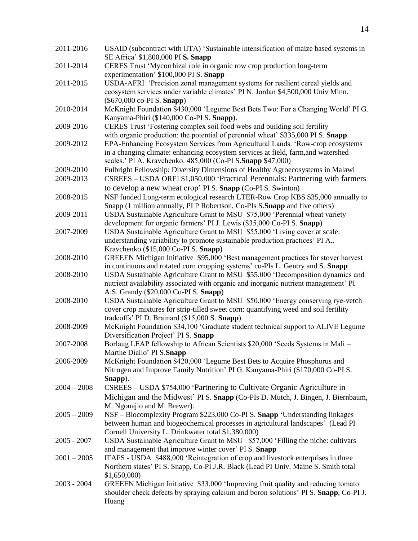| 2011-2016     | USAID (subcontract with IITA) 'Sustainable intensification of maize based systems in                    |
|---------------|---------------------------------------------------------------------------------------------------------|
|               | SE Africa' \$1,800,000 PI S. Snapp                                                                      |
| 2011-2014     | CERES Trust 'Mycorrhizal role in organic row crop production long-term                                  |
|               | experimentation' \$100,000 PI S. Snapp                                                                  |
| 2011-2015     | USDA-AFRI 'Precision zonal management systems for resilient cereal yields and                           |
|               | ecosystem services under variable climates' PIN. Jordan \$4,500,000 Univ Minn.                          |
|               | $(\$670,000 \text{ co-PI S. Shapp})$                                                                    |
| 2010-2014     | McKnight Foundation \$430,000 'Legume Best Bets Two: For a Changing World' PI G.                        |
|               | Kanyama-Phiri (\$140,000 Co-PI S. Snapp).                                                               |
| 2009-2016     | CERES Trust 'Fostering complex soil food webs and building soil fertility                               |
|               | with organic production: the potential of perennial wheat' \$335,000 PI S. Snapp                        |
| 2009-2012     | EPA-Enhancing Ecosystem Services from Agricultural Lands. 'Row-crop ecosystems                          |
|               | in a changing climate: enhancing ecosystem services at field, farm, and watershed                       |
|               | scales.' PI A. Kravchenko. 485,000 (Co-PI S. Snapp \$47,000)                                            |
| 2009-2010     | Fulbright Fellowship: Diversity Dimensions of Healthy Agroecosystems in Malawi                          |
| 2009-2013     | CSREES - USDA OREI \$1,050,000 'Practical Perennials: Partnering with farmers                           |
|               | to develop a new wheat crop' PIS. Snapp (Co-PIS. Swinton)                                               |
| 2008-2015     | NSF funded Long-term ecological research LTER-Row Crop KBS \$35,000 annually to                         |
|               | Snapp (1 million annually, PIP Robertson, Co-PIs S.Snapp and five others)                               |
| 2009-2011     | USDA Sustainable Agriculture Grant to MSU \$75,000 'Perennial wheat variety                             |
|               | development for organic farmers' PI J. Lewis (\$35,000 Co-PI S. Snapp)                                  |
| 2007-2009     |                                                                                                         |
|               | USDA Sustainable Agriculture Grant to MSU \$55,000 'Living cover at scale:                              |
|               | understanding variability to promote sustainable production practices' PI A                             |
|               | Kravchenko (\$15,000 Co-PI S. Snapp)                                                                    |
| 2008-2010     | GREEEN Michigan Initiative \$95,000 'Best management practices for stover harvest                       |
|               | in continuous and rotated corn cropping systems' co-PIs L. Gentry and S. Snapp                          |
| 2008-2010     | USDA Sustainable Agriculture Grant to MSU \$55,000 'Decomposition dynamics and                          |
|               | nutrient availability associated with organic and inorganic nutrient management' PI                     |
|               | A.S. Grandy (\$20,000 Co-PI S. Snapp)                                                                   |
| 2008-2010     | USDA Sustainable Agriculture Grant to MSU \$50,000 'Energy conserving rye-vetch                         |
|               | cover crop mixtures for strip-tilled sweet corn: quantifying weed and soil fertility                    |
|               | tradeoffs' PI D. Brainard (\$15,000 S. Snapp)                                                           |
| 2008-2009     | McKnight Foundation \$34,100 'Graduate student technical support to ALIVE Legume                        |
|               | Diversification Project' PI S. Snapp                                                                    |
| 2007-2008     | Borlaug LEAP fellowship to African Scientists \$20,000 'Seeds Systems in Mali -                         |
|               | Marthe Diallo' PI S. Snapp<br>McKnight Foundation \$420,000 'Legume Best Bets to Acquire Phosphorus and |
| 2006-2009     |                                                                                                         |
|               | Nitrogen and Improve Family Nutrition' PI G. Kanyama-Phiri (\$170,000 Co-PI S.                          |
|               | Snapp).                                                                                                 |
| $2004 - 2008$ | CSREES – USDA \$754,000 'Partnering to Cultivate Organic Agriculture in                                 |
|               | Michigan and the Midwest' PI S. Snapp (Co-PIs D. Mutch, J. Bingen, J. Biernbaum,                        |
|               | M. Ngouajio and M. Brewer).                                                                             |
| $2005 - 2009$ | NSF – Biocomplexity Program \$223,000 Co-PI S. Snapp 'Understanding linkages                            |
|               | between human and biogeochemical processes in agricultural landscapes' (Lead PI                         |
|               | Cornell University L. Drinkwater total \$1,380,000)                                                     |
| $2005 - 2007$ | USDA Sustainable Agriculture Grant to MSU \$57,000 'Filling the niche: cultivars                        |
|               | and management that improve winter cover' PIS. Snapp                                                    |
| $2001 - 2005$ | IFAFS - USDA \$488,000 'Reintegration of crop and livestock enterprises in three                        |
|               | Northern states' PI S. Snapp, Co-PI J.R. Black (Lead PI Univ. Maine S. Smith total                      |
|               | \$1,650,000                                                                                             |
| $2003 - 2004$ | GREEEN Michigan Initiative \$33,000 'Improving fruit quality and reducing tomato                        |
|               | shoulder check defects by spraying calcium and boron solutions' PIS. Snapp, Co-PIJ.                     |
|               | Huang                                                                                                   |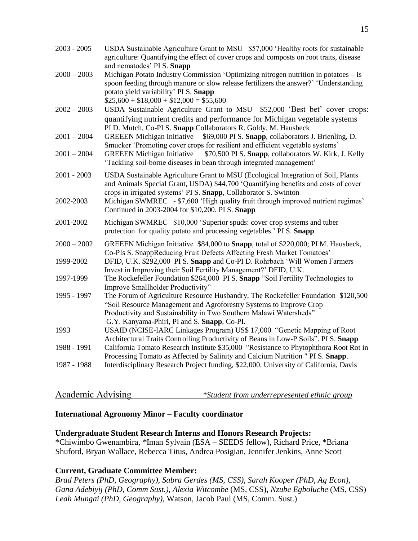| $2003 - 2005$                  | USDA Sustainable Agriculture Grant to MSU \$57,000 'Healthy roots for sustainable<br>agriculture: Quantifying the effect of cover crops and composts on root traits, disease<br>and nematodes' PIS. Snapp                                                                    |
|--------------------------------|------------------------------------------------------------------------------------------------------------------------------------------------------------------------------------------------------------------------------------------------------------------------------|
| $2000 - 2003$                  | Michigan Potato Industry Commission 'Optimizing nitrogen nutrition in potatoes - Is<br>spoon feeding through manure or slow release fertilizers the answer?' 'Understanding<br>potato yield variability' PI S. Snapp<br>$$25,600 + $18,000 + $12,000 = $55,600$              |
| $2002 - 2003$                  | USDA Sustainable Agriculture Grant to MSU \$52,000 'Best bet' cover crops:<br>quantifying nutrient credits and performance for Michigan vegetable systems<br>PI D. Mutch, Co-PI S. Snapp Collaborators R. Goldy, M. Hausbeck                                                 |
| $2001 - 2004$<br>$2001 - 2004$ | \$69,000 PI S. Snapp, collaborators J. Brienling, D.<br><b>GREEEN</b> Michigan Initiative<br>Smucker 'Promoting cover crops for resilient and efficient vegetable systems'                                                                                                   |
|                                | \$70,500 PI S. Snapp, collaborators W. Kirk, J. Kelly<br><b>GREEEN Michigan Initiative</b><br>'Tackling soil-borne diseases in bean through integrated management'                                                                                                           |
| $2001 - 2003$                  | USDA Sustainable Agriculture Grant to MSU (Ecological Integration of Soil, Plants<br>and Animals Special Grant, USDA) \$44,700 'Quantifying benefits and costs of cover<br>crops in irrigated systems' PI S. Snapp, Collaborator S. Swinton                                  |
| 2002-2003                      | Michigan SWMREC - \$7,600 'High quality fruit through improved nutrient regimes'<br>Continued in 2003-2004 for \$10,200. PI S. Snapp                                                                                                                                         |
| 2001-2002                      | Michigan SWMREC \$10,000 'Superior spuds: cover crop systems and tuber<br>protection for quality potato and processing vegetables.' PIS. Snapp                                                                                                                               |
| $2000 - 2002$                  | GREEEN Michigan Initiative \$84,000 to <b>Snapp</b> , total of \$220,000; PI M. Hausbeck,<br>Co-PIs S. SnappReducing Fruit Defects Affecting Fresh Market Tomatoes'                                                                                                          |
| 1999-2002                      | DFID, U.K. \$292,000 PI S. Snapp and Co-PI D. Rohrbach 'Will Women Farmers<br>Invest in Improving their Soil Fertility Management?' DFID, U.K.                                                                                                                               |
| 1997-1999                      | The Rockefeller Foundation \$264,000 PI S. Snapp "Soil Fertility Technologies to<br>Improve Smallholder Productivity"                                                                                                                                                        |
| 1995 - 1997                    | The Forum of Agriculture Resource Husbandry, The Rockefeller Foundation \$120,500<br>"Soil Resource Management and Agroforestry Systems to Improve Crop<br>Productivity and Sustainability in Two Southern Malawi Watersheds"<br>G.Y. Kanyama-Phiri, PI and S. Snapp, Co-PI. |
| 1993                           | USAID (NCISE-IARC Linkages Program) US\$ 17,000 "Genetic Mapping of Root<br>Architectural Traits Controlling Productivity of Beans in Low-P Soils". PI S. Snapp                                                                                                              |
| 1988 - 1991                    | California Tomato Research Institute \$35,000 "Resistance to Phytophthora Root Rot in<br>Processing Tomato as Affected by Salinity and Calcium Nutrition " PI S. Snapp.                                                                                                      |
| 1987 - 1988                    | Interdisciplinary Research Project funding, \$22,000. University of California, Davis                                                                                                                                                                                        |

| Academic Advising | *Student from underrepresented ethnic group |  |  |
|-------------------|---------------------------------------------|--|--|
|                   |                                             |  |  |

### **International Agronomy Minor – Faculty coordinator**

## **Undergraduate Student Research Interns and Honors Research Projects:**

\*Chiwimbo Gwenambira, *\**Iman Sylvain (ESA – SEEDS fellow), Richard Price, \*Briana Shuford, Bryan Wallace, Rebecca Titus, Andrea Posigian, Jennifer Jenkins, Anne Scott

### **Current, Graduate Committee Member:**

*Brad Peters (PhD, Geography), Sabra Gerdes (MS, CSS), Sarah Kooper (PhD, Ag Econ), Gana Adebiyij (PhD, Comm Sust.), Alexia Witcombe* (MS, CSS), *Nzube Egboluche* (MS, CSS) *Leah Mungai (PhD, Geography),* Watson, Jacob Paul (MS, Comm. Sust.)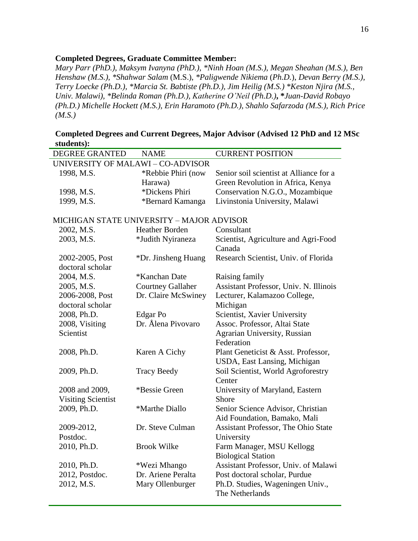## **Completed Degrees, Graduate Committee Member:**

*Mary Parr (PhD.), Maksym Ivanyna (PhD.), \*Ninh Hoan (M.S.), Megan Sheahan (M.S.), Ben Henshaw (M.S.), \*Shahwar Salam* (M.S.), *\*Paligwende Nikiema* (*Ph.D.*), *Devan Berry (M.S.), Terry Loecke (Ph.D.), \*Marcia St. Babtiste (Ph.D.), Jim Heilig (M.S.) \*Keston Njira (M.S., Univ. Malawi), \*Belinda Roman (Ph.D.), Katherine O'Neil (Ph.D.)***, \****Juan-David Robayo (Ph.D.) Michelle Hockett (M.S.), Erin Haramoto (Ph.D.), Shahlo Safarzoda (M.S.), Rich Price (M.S.)*

| <b>DEGREE GRANTED</b>                     | <b>NAME</b>              | <b>CURRENT POSITION</b>                        |  |  |
|-------------------------------------------|--------------------------|------------------------------------------------|--|--|
| UNIVERSITY OF MALAWI - CO-ADVISOR         |                          |                                                |  |  |
| 1998, M.S.                                | *Rebbie Phiri (now       | Senior soil scientist at Alliance for a        |  |  |
|                                           | Harawa)                  | Green Revolution in Africa, Kenya              |  |  |
| 1998, M.S.                                | *Dickens Phiri           | Conservation N.G.O., Mozambique                |  |  |
| 1999, M.S.                                | *Bernard Kamanga         | Livinstonia University, Malawi                 |  |  |
| MICHIGAN STATE UNIVERSITY - MAJOR ADVISOR |                          |                                                |  |  |
| 2002, M.S.                                | Heather Borden           | Consultant                                     |  |  |
| 2003, M.S.                                | *Judith Nyiraneza        | Scientist, Agriculture and Agri-Food<br>Canada |  |  |
| 2002-2005, Post                           | *Dr. Jinsheng Huang      | Research Scientist, Univ. of Florida           |  |  |
| doctoral scholar                          |                          |                                                |  |  |
| 2004, M.S.                                | *Kanchan Date            | Raising family                                 |  |  |
| 2005, M.S.                                | <b>Courtney Gallaher</b> | Assistant Professor, Univ. N. Illinois         |  |  |
| 2006-2008, Post                           | Dr. Claire McSwiney      | Lecturer, Kalamazoo College,                   |  |  |
| doctoral scholar                          |                          | Michigan                                       |  |  |
| 2008, Ph.D.                               | Edgar Po                 | Scientist, Xavier University                   |  |  |
| 2008, Visiting                            | Dr. Ålena Pivovaro       | Assoc. Professor, Altai State                  |  |  |
| Scientist                                 |                          | Agrarian University, Russian                   |  |  |
|                                           |                          | Federation                                     |  |  |
| 2008, Ph.D.                               | Karen A Cichy            | Plant Geneticist & Asst. Professor,            |  |  |
|                                           |                          | USDA, East Lansing, Michigan                   |  |  |
| 2009, Ph.D.                               | <b>Tracy Beedy</b>       | Soil Scientist, World Agroforestry             |  |  |
|                                           |                          | Center                                         |  |  |
| 2008 and 2009,                            | *Bessie Green            | University of Maryland, Eastern                |  |  |
| <b>Visiting Scientist</b>                 |                          | Shore                                          |  |  |
| 2009, Ph.D.                               | *Marthe Diallo           | Senior Science Advisor, Christian              |  |  |
|                                           |                          | Aid Foundation, Bamako, Mali                   |  |  |
| 2009-2012,                                | Dr. Steve Culman         | Assistant Professor, The Ohio State            |  |  |
| Postdoc.                                  |                          | University                                     |  |  |
| 2010, Ph.D.                               | <b>Brook Wilke</b>       | Farm Manager, MSU Kellogg                      |  |  |
|                                           |                          | <b>Biological Station</b>                      |  |  |
| 2010, Ph.D.                               | *Wezi Mhango             | Assistant Professor, Univ. of Malawi           |  |  |
| 2012, Postdoc.                            | Dr. Ariene Peralta       | Post doctoral scholar, Purdue                  |  |  |
| 2012, M.S.                                | Mary Ollenburger         | Ph.D. Studies, Wageningen Univ.,               |  |  |
|                                           |                          | The Netherlands                                |  |  |

**Completed Degrees and Current Degrees, Major Advisor (Advised 12 PhD and 12 MSc students):**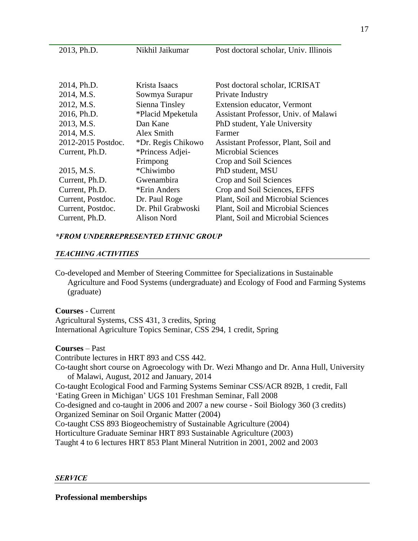| 2013, Ph.D.        | Nikhil Jaikumar    | Post doctoral scholar, Univ. Illinois |
|--------------------|--------------------|---------------------------------------|
|                    |                    |                                       |
|                    |                    |                                       |
| 2014, Ph.D.        | Krista Isaacs      | Post doctoral scholar, ICRISAT        |
| 2014, M.S.         | Sowmya Surapur     | Private Industry                      |
| 2012, M.S.         | Sienna Tinsley     | Extension educator, Vermont           |
| 2016, Ph.D.        | *Placid Mpeketula  | Assistant Professor, Univ. of Malawi  |
| 2013, M.S.         | Dan Kane           | PhD student, Yale University          |
| 2014, M.S.         | Alex Smith         | Farmer                                |
| 2012-2015 Postdoc. | *Dr. Regis Chikowo | Assistant Professor, Plant, Soil and  |
| Current, Ph.D.     | *Princess Adjei-   | <b>Microbial Sciences</b>             |
|                    | Frimpong           | Crop and Soil Sciences                |
| 2015, M.S.         | *Chiwimbo          | PhD student, MSU                      |
| Current, Ph.D.     | Gwenambira         | Crop and Soil Sciences                |
| Current, Ph.D.     | *Erin Anders       | Crop and Soil Sciences, EFFS          |
| Current, Postdoc.  | Dr. Paul Roge      | Plant, Soil and Microbial Sciences    |
| Current, Postdoc.  | Dr. Phil Grabwoski | Plant, Soil and Microbial Sciences    |
| Current, Ph.D.     | Alison Nord        | Plant, Soil and Microbial Sciences    |

### *\*FROM UNDERREPRESENTED ETHNIC GROUP*

#### *TEACHING ACTIVITIES*

Co-developed and Member of Steering Committee for Specializations in Sustainable Agriculture and Food Systems (undergraduate) and Ecology of Food and Farming Systems (graduate)

**Courses** - Current Agricultural Systems, CSS 431, 3 credits, Spring International Agriculture Topics Seminar, CSS 294, 1 credit, Spring

**Courses** – Past Contribute lectures in HRT 893 and CSS 442. Co-taught short course on Agroecology with Dr. Wezi Mhango and Dr. Anna Hull, University of Malawi, August, 2012 and January, 2014 Co-taught Ecological Food and Farming Systems Seminar CSS/ACR 892B, 1 credit, Fall 'Eating Green in Michigan' UGS 101 Freshman Seminar, Fall 2008 Co-designed and co-taught in 2006 and 2007 a new course - Soil Biology 360 (3 credits) Organized Seminar on Soil Organic Matter (2004) Co-taught CSS 893 Biogeochemistry of Sustainable Agriculture (2004) Horticulture Graduate Seminar HRT 893 Sustainable Agriculture (2003) Taught 4 to 6 lectures HRT 853 Plant Mineral Nutrition in 2001, 2002 and 2003

#### *SERVICE*

**Professional memberships**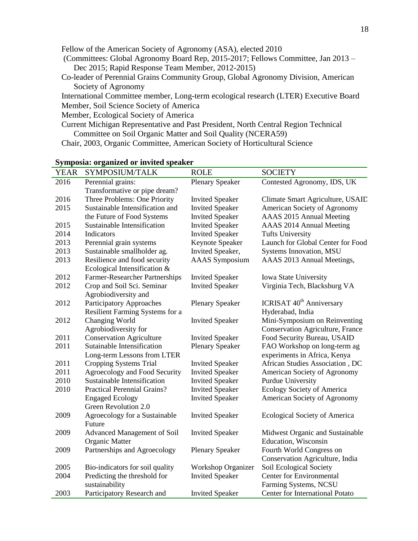Fellow of the American Society of Agronomy (ASA), elected 2010 (Committees: Global Agronomy Board Rep, 2015-2017; Fellows Committee, Jan 2013 – Dec 2015; Rapid Response Team Member, 2012-2015) Co-leader of Perennial Grains Community Group, Global Agronomy Division, American Society of Agronomy International Committee member, Long-term ecological research (LTER) Executive Board Member, Soil Science Society of America

Member, Ecological Society of America

Current Michigan Representative and Past President, North Central Region Technical Committee on Soil Organic Matter and Soil Quality (NCERA59)

Chair, 2003, Organic Committee, American Society of Horticultural Science

| <b>YEAR</b> | SYMPOSIUM/TALK                     | <b>ROLE</b>               | <b>SOCIETY</b>                             |
|-------------|------------------------------------|---------------------------|--------------------------------------------|
| 2016        | Perennial grains:                  | <b>Plenary Speaker</b>    | Contested Agronomy, IDS, UK                |
|             | Transformative or pipe dream?      |                           |                                            |
| 2016        | Three Problems: One Priority       | <b>Invited Speaker</b>    | Climate Smart Agriculture, USAID           |
| 2015        | Sustainable Intensification and    | <b>Invited Speaker</b>    | American Society of Agronomy               |
|             | the Future of Food Systems         | <b>Invited Speaker</b>    | AAAS 2015 Annual Meeting                   |
| 2015        | Sustainable Intensification        | <b>Invited Speaker</b>    | AAAS 2014 Annual Meeting                   |
| 2014        | Indicators                         | <b>Invited Speaker</b>    | <b>Tufts University</b>                    |
| 2013        | Perennial grain systems            | Keynote Speaker           | Launch for Global Center for Food          |
| 2013        | Sustainable smallholder ag.        | Invited Speaker,          | Systems Innovation, MSU                    |
| 2013        | Resilience and food security       | <b>AAAS</b> Symposium     | AAAS 2013 Annual Meetings,                 |
|             | Ecological Intensification &       |                           |                                            |
| 2012        | Farmer-Researcher Partnerships     | <b>Invited Speaker</b>    | Iowa State University                      |
| 2012        | Crop and Soil Sci. Seminar         | <b>Invited Speaker</b>    | Virginia Tech, Blacksburg VA               |
|             | Agrobiodiversity and               |                           |                                            |
| 2012        | <b>Participatory Approaches</b>    | <b>Plenary Speaker</b>    | <b>ICRISAT 40<sup>th</sup> Anniversary</b> |
|             | Resilient Farming Systems for a    |                           | Hyderabad, India                           |
| 2012        | Changing World                     | <b>Invited Speaker</b>    | Mini-Symposium on Reinventing              |
|             | Agrobiodiversity for               |                           | <b>Conservation Agriculture, France</b>    |
| 2011        | <b>Conservation Agriculture</b>    | <b>Invited Speaker</b>    | Food Security Bureau, USAID                |
| 2011        | Sutainable Intensification         | <b>Plenary Speaker</b>    | FAO Workshop on long-term ag               |
|             | Long-term Lessons from LTER        |                           | experiments in Africa, Kenya               |
| 2011        | Cropping Systems Trial             | <b>Invited Speaker</b>    | African Studies Association, DC            |
| 2011        | Agroecology and Food Security      | <b>Invited Speaker</b>    | American Society of Agronomy               |
| 2010        | Sustainable Intensification        | <b>Invited Speaker</b>    | Purdue University                          |
| 2010        | <b>Practical Perennial Grains?</b> | <b>Invited Speaker</b>    | Ecology Society of America                 |
|             | <b>Engaged Ecology</b>             | <b>Invited Speaker</b>    | American Society of Agronomy               |
|             | Green Revolution 2.0               |                           |                                            |
| 2009        | Agroecology for a Sustainable      | <b>Invited Speaker</b>    | Ecological Society of America              |
|             | Future                             |                           |                                            |
| 2009        | Advanced Management of Soil        | <b>Invited Speaker</b>    | Midwest Organic and Sustainable            |
|             | <b>Organic Matter</b>              |                           | Education, Wisconsin                       |
| 2009        | Partnerships and Agroecology       | <b>Plenary Speaker</b>    | Fourth World Congress on                   |
|             |                                    |                           | Conservation Agriculture, India            |
| 2005        | Bio-indicators for soil quality    | <b>Workshop Organizer</b> | Soil Ecological Society                    |
| 2004        | Predicting the threshold for       | <b>Invited Speaker</b>    | <b>Center for Environmental</b>            |
|             | sustainability                     |                           | Farming Systems, NCSU                      |
| 2003        | Participatory Research and         | <b>Invited Speaker</b>    | <b>Center for International Potato</b>     |

## **Symposia: organized or invited speaker**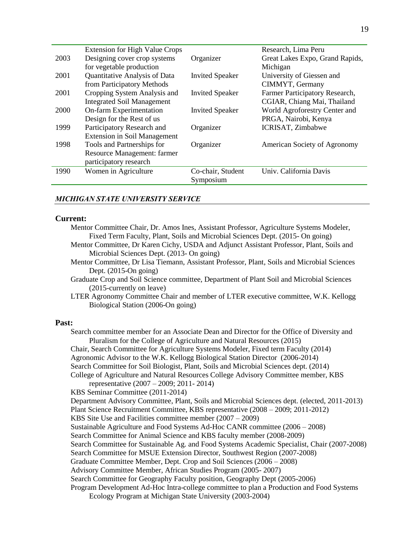|      | <b>Extension for High Value Crops</b> |                        | Research, Lima Peru             |
|------|---------------------------------------|------------------------|---------------------------------|
| 2003 | Designing cover crop systems          | Organizer              | Great Lakes Expo, Grand Rapids, |
|      | for vegetable production              |                        | Michigan                        |
| 2001 | Quantitative Analysis of Data         | <b>Invited Speaker</b> | University of Giessen and       |
|      | from Participatory Methods            |                        | CIMMYT, Germany                 |
| 2001 | Cropping System Analysis and          | <b>Invited Speaker</b> | Farmer Participatory Research,  |
|      | <b>Integrated Soil Management</b>     |                        | CGIAR, Chiang Mai, Thailand     |
| 2000 | On-farm Experimentation               | <b>Invited Speaker</b> | World Agroforestry Center and   |
|      | Design for the Rest of us             |                        | PRGA, Nairobi, Kenya            |
| 1999 | Participatory Research and            | Organizer              | ICRISAT, Zimbabwe               |
|      | <b>Extension in Soil Management</b>   |                        |                                 |
| 1998 | Tools and Partnerships for            | Organizer              | American Society of Agronomy    |
|      | Resource Management: farmer           |                        |                                 |
|      | participatory research                |                        |                                 |
| 1990 | Women in Agriculture                  | Co-chair, Student      | Univ. California Davis          |
|      |                                       | Symposium              |                                 |
|      |                                       |                        |                                 |

#### *MICHIGAN STATE UNIVERSITY SERVICE*

#### **Current:**

- Mentor Committee Chair, Dr. Amos Ines, Assistant Professor, Agriculture Systems Modeler, Fixed Term Faculty, Plant, Soils and Microbial Sciences Dept. (2015- On going)
- Mentor Committee, Dr Karen Cichy, USDA and Adjunct Assistant Professor, Plant, Soils and Microbial Sciences Dept. (2013- On going)
- Mentor Committee, Dr Lisa Tiemann, Assistant Professor, Plant, Soils and Microbial Sciences Dept. (2015-On going)
- Graduate Crop and Soil Science committee, Department of Plant Soil and Microbial Sciences (2015-currently on leave)
- LTER Agronomy Committee Chair and member of LTER executive committee, W.K. Kellogg Biological Station (2006-On going)

#### **Past:**

Search committee member for an Associate Dean and Director for the Office of Diversity and Pluralism for the College of Agriculture and Natural Resources (2015) Chair, Search Committee for Agriculture Systems Modeler, Fixed term Faculty (2014) Agronomic Advisor to the W.K. Kellogg Biological Station Director (2006-2014) Search Committee for Soil Biologist, Plant, Soils and Microbial Sciences dept. (2014) College of Agriculture and Natural Resources College Advisory Committee member, KBS representative (2007 – 2009; 2011- 2014) KBS Seminar Committee (2011-2014) Department Advisory Committee, Plant, Soils and Microbial Sciences dept. (elected, 2011-2013) Plant Science Recruitment Committee, KBS representative (2008 – 2009; 2011-2012) KBS Site Use and Facilities committee member (2007 – 2009) Sustainable Agriculture and Food Systems Ad-Hoc CANR committee (2006 – 2008) Search Committee for Animal Science and KBS faculty member (2008-2009) Search Committee for Sustainable Ag. and Food Systems Academic Specialist, Chair (2007-2008) Search Committee for MSUE Extension Director, Southwest Region (2007-2008) Graduate Committee Member, Dept. Crop and Soil Sciences (2006 – 2008) Advisory Committee Member, African Studies Program (2005- 2007) Search Committee for Geography Faculty position, Geography Dept (2005-2006) Program Development Ad-Hoc Intra-college committee to plan a Production and Food Systems Ecology Program at Michigan State University (2003-2004)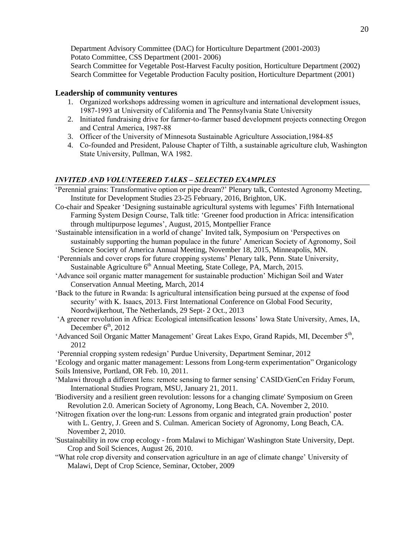Department Advisory Committee (DAC) for Horticulture Department (2001-2003) Potato Committee, CSS Department (2001- 2006) Search Committee for Vegetable Post-Harvest Faculty position, Horticulture Department (2002) Search Committee for Vegetable Production Faculty position, Horticulture Department (2001)

#### **Leadership of community ventures**

- 1. Organized workshops addressing women in agriculture and international development issues, 1987-1993 at University of California and The Pennsylvania State University
- 2. Initiated fundraising drive for farmer-to-farmer based development projects connecting Oregon and Central America, 1987-88
- 3. Officer of the University of Minnesota Sustainable Agriculture Association,1984-85
- 4. Co-founded and President, Palouse Chapter of Tilth, a sustainable agriculture club, Washington State University, Pullman, WA 1982.

#### *INVITED AND VOLUNTEERED TALKS – SELECTED EXAMPLES*

- 'Perennial grains: Transformative option or pipe dream?' Plenary talk, Contested Agronomy Meeting, Institute for Development Studies 23-25 February, 2016, Brighton, UK.
- Co-chair and Speaker 'Designing sustainable agricultural systems with legumes' Fifth International Farming System Design Course, Talk title: 'Greener food production in Africa: intensification through multipurpose legumes', August, 2015, Montpellier France
- 'Sustainable intensification in a world of change' Invited talk, Symposium on 'Perspectives on sustainably supporting the human populace in the future' American Society of Agronomy, Soil Science Society of America Annual Meeting, November 18, 2015, Minneapolis, MN.
- 'Perennials and cover crops for future cropping systems' Plenary talk, Penn. State University, Sustainable Agriculture 6<sup>th</sup> Annual Meeting, State College, PA, March, 2015.
- 'Advance soil organic matter management for sustainable production' Michigan Soil and Water Conservation Annual Meeting, March, 2014
- 'Back to the future in Rwanda: Is agricultural intensification being pursued at the expense of food security' with K. Isaacs, 2013. First International Conference on Global Food Security, Noordwijkerhout, The Netherlands, 29 Sept- 2 Oct., 2013
- 'A greener revolution in Africa: Ecological intensification lessons' Iowa State University, Ames, IA, December  $6<sup>th</sup>$ , 2012
- 'Advanced Soil Organic Matter Management' Great Lakes Expo, Grand Rapids, MI, December 5<sup>th</sup>, 2012
- 'Perennial cropping system redesign' Purdue University, Department Seminar, 2012
- 'Ecology and organic matter management: Lessons from Long-term experimentation" Organicology Soils Intensive, Portland, OR Feb. 10, 2011.
- 'Malawi through a different lens: remote sensing to farmer sensing' CASID/GenCen Friday Forum, International Studies Program, MSU, January 21, 2011.
- 'Biodiversity and a resilient green revolution: lessons for a changing climate' Symposium on Green Revolution 2.0. American Society of Agronomy, Long Beach, CA. November 2, 2010.
- 'Nitrogen fixation over the long-run: Lessons from organic and integrated grain production' poster with L. Gentry, J. Green and S. Culman. American Society of Agronomy, Long Beach, CA. November 2, 2010.
- 'Sustainability in row crop ecology from Malawi to Michigan' Washington State University, Dept. Crop and Soil Sciences, August 26, 2010.
- "What role crop diversity and conservation agriculture in an age of climate change' University of Malawi, Dept of Crop Science, Seminar, October, 2009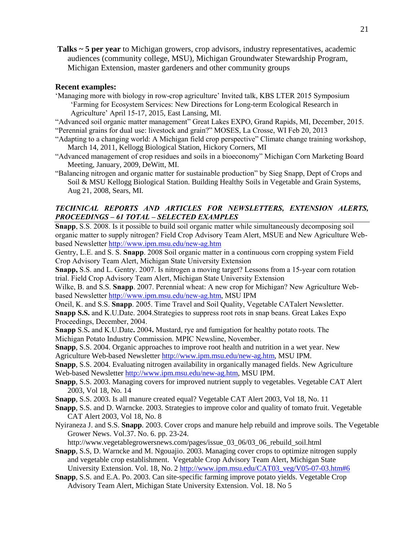**Talks ~ 5 per year** to Michigan growers, crop advisors, industry representatives, academic audiences (community college, MSU), Michigan Groundwater Stewardship Program, Michigan Extension, master gardeners and other community groups

## **Recent examples:**

- 'Managing more with biology in row-crop agriculture' Invited talk, KBS LTER 2015 Symposium 'Farming for Ecosystem Services: New Directions for Long-term Ecological Research in Agriculture' April 15-17, 2015, East Lansing, MI.
- "Advanced soil organic matter management" Great Lakes EXPO, Grand Rapids, MI, December, 2015. "Perennial grains for dual use: livestock and grain?" MOSES, La Crosse, WI Feb 20, 2013
- "Adapting to a changing world: A Michigan field crop perspective" Climate change training workshop, March 14, 2011, Kellogg Biological Station, Hickory Corners, MI
- "Advanced management of crop residues and soils in a bioeconomy" Michigan Corn Marketing Board Meeting, January, 2009, DeWitt, MI.
- "Balancing nitrogen and organic matter for sustainable production" by Sieg Snapp, Dept of Crops and Soil & MSU Kellogg Biological Station. Building Healthy Soils in Vegetable and Grain Systems, Aug 21, 2008, Sears, MI.

## *TECHNICAL REPORTS AND ARTICLES FOR NEWSLETTERS, EXTENSION ALERTS, PROCEEDINGS – 61 TOTAL – SELECTED EXAMPLES*

**Snapp**, S.S. 2008. Is it possible to build soil organic matter while simultaneously decomposing soil organic matter to supply nitrogen? Field Crop Advisory Team Alert, MSUE and New Agriculture Webbased Newsletter<http://www.ipm.msu.edu/new-ag.htm>

Gentry, L.E. and S. S. **Snapp**. 2008 Soil organic matter in a continuous corn cropping system Field Crop Advisory Team Alert, Michigan State University Extension

**Snapp,** S.S. and L. Gentry. 2007. Is nitrogen a moving target? Lessons from a 15-year corn rotation trial. Field Crop Advisory Team Alert, Michigan State University Extension

Wilke, B. and S.S. **Snapp**. 2007. Perennial wheat: A new crop for Michigan? New Agriculture Webbased Newsletter [http://www.ipm.msu.edu/new-ag.htm,](http://www.ipm.msu.edu/new-ag.htm) MSU IPM

Oneil, K. and S.S. **Snapp**. 2005. Time Travel and Soil Quality, Vegetable CATalert Newsletter. **Snapp S.S.** and K.U.Date. 2004.Strategies to suppress root rots in snap beans. Great Lakes Expo Proceedings, December, 2004.

**Snapp** S.S**.** and K.U.Date**.** 2004**.** Mustard, rye and fumigation for healthy potato roots. The Michigan Potato Industry Commission. MPIC Newsline, November.

**Snapp**, S.S. 2004. Organic approaches to improve root health and nutrition in a wet year. New Agriculture Web-based Newsletter [http://www.ipm.msu.edu/new-ag.htm,](http://www.ipm.msu.edu/new-ag.htm) MSU IPM.

**Snapp**, S.S. 2004. Evaluating nitrogen availability in organically managed fields. New Agriculture Web-based Newsletter [http://www.ipm.msu.edu/new-ag.htm,](http://www.ipm.msu.edu/new-ag.htm) MSU IPM.

- **Snapp**, S.S. 2003. Managing covers for improved nutrient supply to vegetables. Vegetable CAT Alert 2003, Vol 18, No. 14
- **Snapp**, S.S. 2003. Is all manure created equal? Vegetable CAT Alert 2003, Vol 18, No. 11
- **Snapp**, S.S. and D. Warncke. 2003. Strategies to improve color and quality of tomato fruit. Vegetable CAT Alert 2003, Vol 18, No. 8
- Nyiraneza J. and S.S. **Snapp**. 2003. Cover crops and manure help rebuild and improve soils. The Vegetable Grower News. Vol.37. No. 6. pp. 23-24.

http://www.vegetablegrowersnews.com/pages/issue\_03\_06/03\_06\_rebuild\_soil.html

- **Snapp**, S.S, D. Warncke and M. Ngouajio. 2003. Managing cover crops to optimize nitrogen supply and vegetable crop establishment. Vegetable Crop Advisory Team Alert, Michigan State University Extension. Vol. 18, No. 2 [http://www.ipm.msu.edu/CAT03\\_veg/V05-07-03.htm#6](http://www.ipm.msu.edu/CAT03_veg/V05-07-03.htm#6)
- **Snapp**, S.S. and E.A. Po. 2003. Can site-specific farming improve potato yields. Vegetable Crop Advisory Team Alert, Michigan State University Extension. Vol. 18. No 5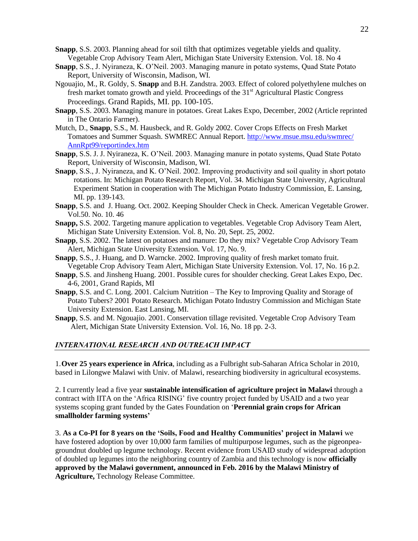- **Snapp**, S.S. 2003. Planning ahead for soil tilth that optimizes vegetable yields and quality. Vegetable Crop Advisory Team Alert, Michigan State University Extension. Vol. 18. No 4
- **Snapp**, S.S., J. Nyiraneza, K. O'Neil. 2003. Managing manure in potato systems, Quad State Potato Report, University of Wisconsin, Madison, WI.
- Ngouajio, M., R. Goldy, S. **Snapp** and B.H. Zandstra. 2003. Effect of colored polyethylene mulches on fresh market tomato growth and yield. Proceedings of the  $31<sup>st</sup>$  Agricultural Plastic Congress Proceedings. Grand Rapids, MI. pp. 100-105.
- **Snapp**, S.S. 2003. Managing manure in potatoes. Great Lakes Expo, December, 2002 (Article reprinted in The Ontario Farmer).
- Mutch, D., **Snapp**, S.S., M. Hausbeck, and R. Goldy 2002. [Cover Crops Effects on Fresh Market](http://www.msue.msu.edu/swmrec/ann%20rpt%2002/tomato%20covers.PDF)  [Tomatoes and Summer Squash.](http://www.msue.msu.edu/swmrec/ann%20rpt%2002/tomato%20covers.PDF) SWMREC Annual Report. [http://www.msue.msu.edu/swmrec/](http://www.msue.msu.edu/swmrec/%20AnnRpt99/reportindex.htm)  [AnnRpt99/reportindex.htm](http://www.msue.msu.edu/swmrec/%20AnnRpt99/reportindex.htm)
- **Snapp**, S.S. J. J. Nyiraneza, K. O'Neil. 2003. Managing manure in potato systems, Quad State Potato Report, University of Wisconsin, Madison, WI.
- **Snapp**, S.S., J. Nyiraneza, and K. O'Neil. 2002. Improving productivity and soil quality in short potato rotations. In: Michigan Potato Research Report, Vol. 34. Michigan State University, Agricultural Experiment Station in cooperation with The Michigan Potato Industry Commission, E. Lansing, MI. pp. 139-143.
- **Snapp**, S.S. and J. Huang. Oct. 2002. Keeping Shoulder Check in Check. American Vegetable Grower. Vol.50. No. 10. 46
- **Snapp,** S.S. 2002. Targeting manure application to vegetables. Vegetable Crop Advisory Team Alert, Michigan State University Extension. Vol. 8, No. 20, Sept. 25, 2002.
- **Snapp**, S.S. 2002. The latest on potatoes and manure: Do they mix? Vegetable Crop Advisory Team Alert, Michigan State University Extension. Vol. 17, No. 9.
- **Snapp**, S.S., J. Huang, and D. Warncke. 2002. Improving quality of fresh market tomato fruit. Vegetable Crop Advisory Team Alert, Michigan State University Extension. Vol. 17, No. 16 p.2.
- **Snapp**, S.S. and Jinsheng Huang. 2001. Possible cures for shoulder checking. Great Lakes Expo, Dec. 4-6, 2001, Grand Rapids, MI
- **Snapp**, S.S. and C. Long. 2001. Calcium Nutrition The Key to Improving Quality and Storage of Potato Tubers? 2001 Potato Research. Michigan Potato Industry Commission and Michigan State University Extension. East Lansing, MI.
- **Snapp**, S.S. and M. Ngouajio. 2001. Conservation tillage revisited. Vegetable Crop Advisory Team Alert, Michigan State University Extension. Vol. 16, No. 18 pp. 2-3.

#### *INTERNATIONAL RESEARCH AND OUTREACH IMPACT*

1.**Over 25 years experience in Africa**, including as a Fulbright sub-Saharan Africa Scholar in 2010, based in Lilongwe Malawi with Univ. of Malawi, researching biodiversity in agricultural ecosystems.

2. I currently lead a five year **sustainable intensification of agriculture project in Malawi** through a contract with IITA on the 'Africa RISING' five country project funded by USAID and a two year systems scoping grant funded by the Gates Foundation on '**Perennial grain crops for African smallholder farming systems'**

3. **As a Co-PI for 8 years on the 'Soils, Food and Healthy Communities' project in Malawi** we have fostered adoption by over 10,000 farm families of multipurpose legumes, such as the pigeonpeagroundnut doubled up legume technology. Recent evidence from USAID study of widespread adoption of doubled up legumes into the neighboring country of Zambia and this technology is now **officially approved by the Malawi government, announced in Feb. 2016 by the Malawi Ministry of Agriculture,** Technology Release Committee.